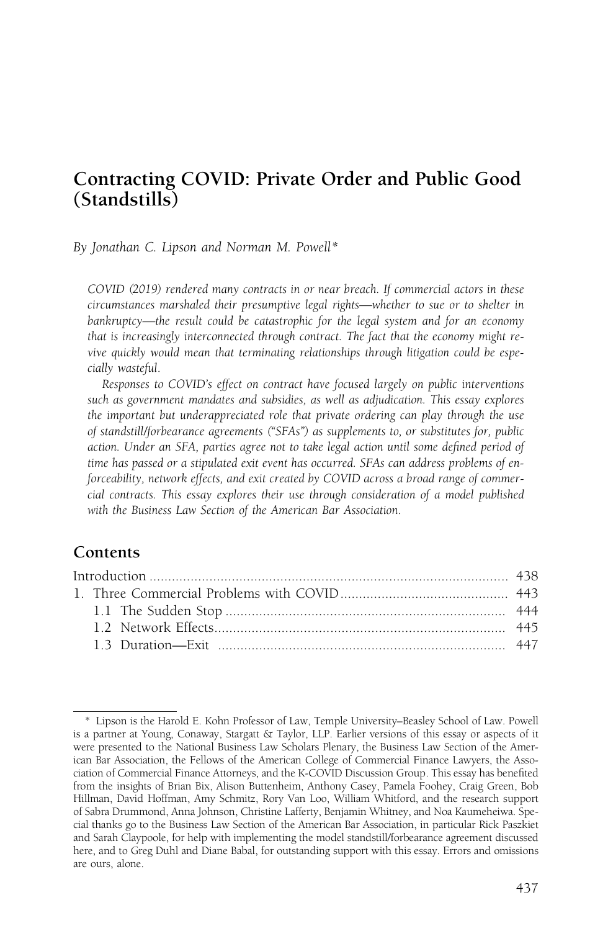# Contracting COVID: Private Order and Public Good (Standstills)

By Jonathan C. Lipson and Norman M. Powell\*

COVID (2019) rendered many contracts in or near breach. If commercial actors in these circumstances marshaled their presumptive legal rights—whether to sue or to shelter in bankruptcy—the result could be catastrophic for the legal system and for an economy that is increasingly interconnected through contract. The fact that the economy might revive quickly would mean that terminating relationships through litigation could be especially wasteful.

Responses to COVID's effect on contract have focused largely on public interventions such as government mandates and subsidies, as well as adjudication. This essay explores the important but underappreciated role that private ordering can play through the use of standstill/forbearance agreements ("SFAs") as supplements to, or substitutes for, public action. Under an SFA, parties agree not to take legal action until some defined period of time has passed or a stipulated exit event has occurred. SFAs can address problems of enforceability, network effects, and exit created by COVID across a broad range of commercial contracts. This essay explores their use through consideration of a model published with the Business Law Section of the American Bar Association.

## **Contents**

<sup>\*</sup> Lipson is the Harold E. Kohn Professor of Law, Temple University–Beasley School of Law. Powell is a partner at Young, Conaway, Stargatt & Taylor, LLP. Earlier versions of this essay or aspects of it were presented to the National Business Law Scholars Plenary, the Business Law Section of the American Bar Association, the Fellows of the American College of Commercial Finance Lawyers, the Association of Commercial Finance Attorneys, and the K-COVID Discussion Group. This essay has benefited from the insights of Brian Bix, Alison Buttenheim, Anthony Casey, Pamela Foohey, Craig Green, Bob Hillman, David Hoffman, Amy Schmitz, Rory Van Loo, William Whitford, and the research support of Sabra Drummond, Anna Johnson, Christine Lafferty, Benjamin Whitney, and Noa Kaumeheiwa. Special thanks go to the Business Law Section of the American Bar Association, in particular Rick Paszkiet and Sarah Claypoole, for help with implementing the model standstill/forbearance agreement discussed here, and to Greg Duhl and Diane Babal, for outstanding support with this essay. Errors and omissions are ours, alone.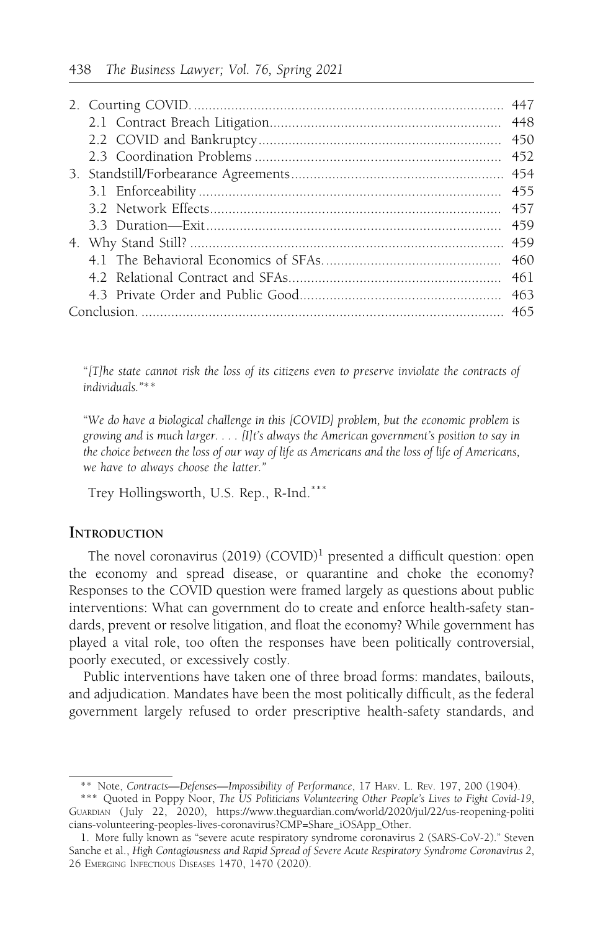"[T]he state cannot risk the loss of its citizens even to preserve inviolate the contracts of individuals."\*\*

"We do have a biological challenge in this [COVID] problem, but the economic problem is growing and is much larger. . . . [I]t's always the American government's position to say in the choice between the loss of our way of life as Americans and the loss of life of Americans, we have to always choose the latter."

Trey Hollingsworth, U.S. Rep., R-Ind.\*\*\*

### **INTRODUCTION**

The novel coronavirus  $(2019)$   $(COVID)<sup>1</sup>$  presented a difficult question: open the economy and spread disease, or quarantine and choke the economy? Responses to the COVID question were framed largely as questions about public interventions: What can government do to create and enforce health-safety standards, prevent or resolve litigation, and float the economy? While government has played a vital role, too often the responses have been politically controversial, poorly executed, or excessively costly.

Public interventions have taken one of three broad forms: mandates, bailouts, and adjudication. Mandates have been the most politically difficult, as the federal government largely refused to order prescriptive health-safety standards, and

<sup>\*\*</sup> Note, Contracts-Defenses-Impossibility of Performance, 17 HARV. L. REV. 197, 200 (1904).

<sup>\*\*\*</sup> Quoted in Poppy Noor, The US Politicians Volunteering Other People's Lives to Fight Covid-19, GUARDIAN ( July 22, 2020), https://www.theguardian.com/world/2020/jul/22/us-reopening-politi cians-volunteering-peoples-lives-coronavirus?CMP=Share\_iOSApp\_Other.

<sup>1.</sup> More fully known as "severe acute respiratory syndrome coronavirus 2 (SARS-CoV-2)." Steven Sanche et al., High Contagiousness and Rapid Spread of Severe Acute Respiratory Syndrome Coronavirus 2, 26 EMERGING INFECTIOUS DISEASES 1470, 1470 (2020).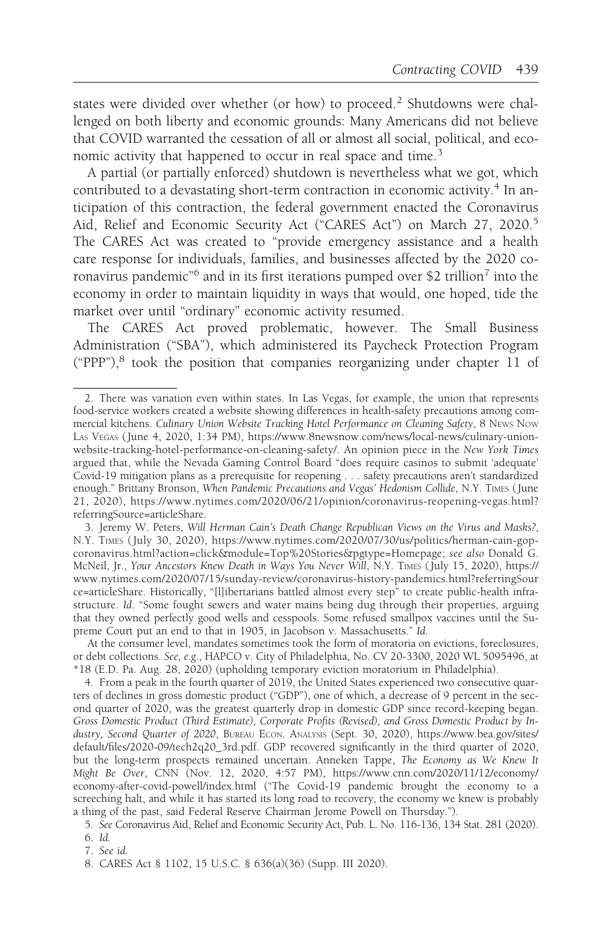states were divided over whether (or how) to proceed.<sup>2</sup> Shutdowns were challenged on both liberty and economic grounds: Many Americans did not believe that COVID warranted the cessation of all or almost all social, political, and economic activity that happened to occur in real space and time.<sup>3</sup>

A partial (or partially enforced) shutdown is nevertheless what we got, which contributed to a devastating short-term contraction in economic activity.<sup>4</sup> In anticipation of this contraction, the federal government enacted the Coronavirus Aid, Relief and Economic Security Act ("CARES Act") on March 27, 2020.<sup>5</sup> The CARES Act was created to "provide emergency assistance and a health care response for individuals, families, and businesses affected by the 2020 coronavirus pandemic"<sup>6</sup> and in its first iterations pumped over \$2 trillion<sup>7</sup> into the economy in order to maintain liquidity in ways that would, one hoped, tide the market over until "ordinary" economic activity resumed.

The CARES Act proved problematic, however. The Small Business Administration ("SBA"), which administered its Paycheck Protection Program ("PPP"),<sup>8</sup> took the position that companies reorganizing under chapter 11 of

7. See id.

<sup>2.</sup> There was variation even within states. In Las Vegas, for example, the union that represents food-service workers created a website showing differences in health-safety precautions among commercial kitchens. Culinary Union Website Tracking Hotel Performance on Cleaning Safety, 8 NEWS Now LAS VEGAS ( June 4, 2020, 1:34 PM), https://www.8newsnow.com/news/local-news/culinary-unionwebsite-tracking-hotel-performance-on-cleaning-safety/. An opinion piece in the New York Times argued that, while the Nevada Gaming Control Board "does require casinos to submit 'adequate' Covid-19 mitigation plans as a prerequisite for reopening . . . safety precautions aren't standardized enough." Brittany Bronson, When Pandemic Precautions and Vegas' Hedonism Collide, N.Y. TIMES (June 21, 2020), https://www.nytimes.com/2020/06/21/opinion/coronavirus-reopening-vegas.html? referringSource=articleShare.

<sup>3.</sup> Jeremy W. Peters, Will Herman Cain's Death Change Republican Views on the Virus and Masks?, N.Y. TIMES ( July 30, 2020), https://www.nytimes.com/2020/07/30/us/politics/herman-cain-gopcoronavirus.html?action=click&module=Top%20Stories&pgtype=Homepage; see also Donald G. McNeil, Jr., Your Ancestors Knew Death in Ways You Never Will, N.Y. TIMES ( July 15, 2020), https:// www.nytimes.com/2020/07/15/sunday-review/coronavirus-history-pandemics.html?referringSour ce=articleShare. Historically, "[l]ibertarians battled almost every step" to create public-health infrastructure. Id. "Some fought sewers and water mains being dug through their properties, arguing that they owned perfectly good wells and cesspools. Some refused smallpox vaccines until the Supreme Court put an end to that in 1905, in Jacobson v. Massachusetts." Id.

At the consumer level, mandates sometimes took the form of moratoria on evictions, foreclosures, or debt collections. See, e.g., HAPCO v. City of Philadelphia, No. CV 20-3300, 2020 WL 5095496, at \*18 (E.D. Pa. Aug. 28, 2020) (upholding temporary eviction moratorium in Philadelphia).

<sup>4.</sup> From a peak in the fourth quarter of 2019, the United States experienced two consecutive quarters of declines in gross domestic product ("GDP"), one of which, a decrease of 9 percent in the second quarter of 2020, was the greatest quarterly drop in domestic GDP since record-keeping began. Gross Domestic Product (Third Estimate), Corporate Profits (Revised), and Gross Domestic Product by Industry, Second Quarter of 2020, BUREAU ECON. ANALYSIS (Sept. 30, 2020), https://www.bea.gov/sites/ default/files/2020-09/tech2q20\_3rd.pdf. GDP recovered significantly in the third quarter of 2020, but the long-term prospects remained uncertain. Anneken Tappe, The Economy as We Knew It Might Be Over, CNN (Nov. 12, 2020, 4:57 PM), https://www.cnn.com/2020/11/12/economy/ economy-after-covid-powell/index.html ("The Covid-19 pandemic brought the economy to a screeching halt, and while it has started its long road to recovery, the economy we knew is probably a thing of the past, said Federal Reserve Chairman Jerome Powell on Thursday.").

<sup>5.</sup> See Coronavirus Aid, Relief and Economic Security Act, Pub. L. No. 116-136, 134 Stat. 281 (2020).

<sup>6.</sup> Id.

<sup>8.</sup> CARES Act § 1102, 15 U.S.C. § 636(a)(36) (Supp. III 2020).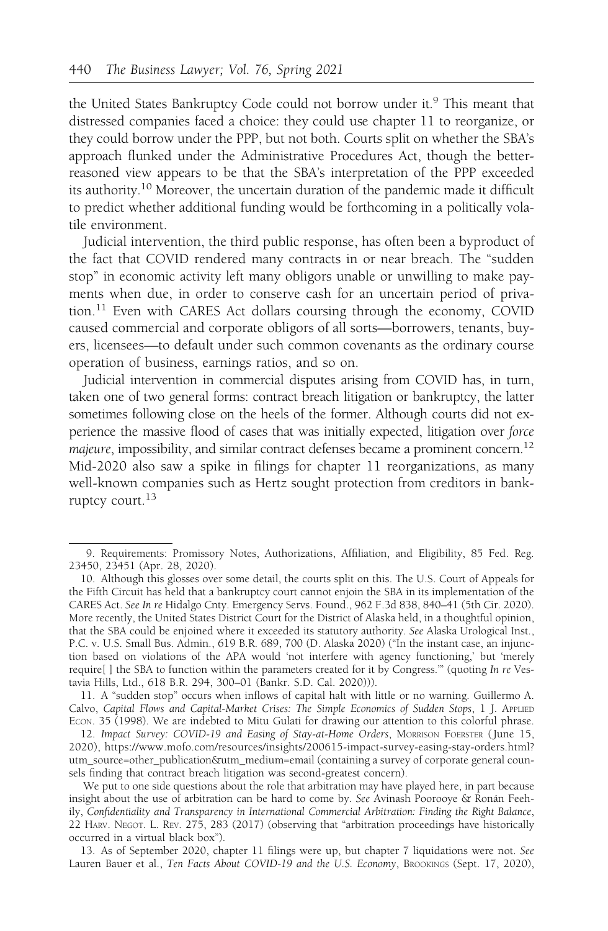the United States Bankruptcy Code could not borrow under it.<sup>9</sup> This meant that distressed companies faced a choice: they could use chapter 11 to reorganize, or they could borrow under the PPP, but not both. Courts split on whether the SBA's approach flunked under the Administrative Procedures Act, though the betterreasoned view appears to be that the SBA's interpretation of the PPP exceeded its authority.10 Moreover, the uncertain duration of the pandemic made it difficult to predict whether additional funding would be forthcoming in a politically volatile environment.

Judicial intervention, the third public response, has often been a byproduct of the fact that COVID rendered many contracts in or near breach. The "sudden stop" in economic activity left many obligors unable or unwilling to make payments when due, in order to conserve cash for an uncertain period of privation.<sup>11</sup> Even with CARES Act dollars coursing through the economy, COVID caused commercial and corporate obligors of all sorts—borrowers, tenants, buyers, licensees—to default under such common covenants as the ordinary course operation of business, earnings ratios, and so on.

Judicial intervention in commercial disputes arising from COVID has, in turn, taken one of two general forms: contract breach litigation or bankruptcy, the latter sometimes following close on the heels of the former. Although courts did not experience the massive flood of cases that was initially expected, litigation over force majeure, impossibility, and similar contract defenses became a prominent concern.<sup>12</sup> Mid-2020 also saw a spike in filings for chapter 11 reorganizations, as many well-known companies such as Hertz sought protection from creditors in bankruptcy court.<sup>13</sup>

13. As of September 2020, chapter 11 filings were up, but chapter 7 liquidations were not. See Lauren Bauer et al., Ten Facts About COVID-19 and the U.S. Economy, BROOKINGS (Sept. 17, 2020),

<sup>9.</sup> Requirements: Promissory Notes, Authorizations, Affiliation, and Eligibility, 85 Fed. Reg. 23450, 23451 (Apr. 28, 2020).

<sup>10.</sup> Although this glosses over some detail, the courts split on this. The U.S. Court of Appeals for the Fifth Circuit has held that a bankruptcy court cannot enjoin the SBA in its implementation of the CARES Act. See In re Hidalgo Cnty. Emergency Servs. Found., 962 F.3d 838, 840–41 (5th Cir. 2020). More recently, the United States District Court for the District of Alaska held, in a thoughtful opinion, that the SBA could be enjoined where it exceeded its statutory authority. See Alaska Urological Inst., P.C. v. U.S. Small Bus. Admin., 619 B.R. 689, 700 (D. Alaska 2020) ("In the instant case, an injunction based on violations of the APA would 'not interfere with agency functioning,' but 'merely require[ ] the SBA to function within the parameters created for it by Congress.'" (quoting In re Vestavia Hills, Ltd., 618 B.R. 294, 300–01 (Bankr. S.D. Cal. 2020))).

<sup>11.</sup> A "sudden stop" occurs when inflows of capital halt with little or no warning. Guillermo A. Calvo, Capital Flows and Capital-Market Crises: The Simple Economics of Sudden Stops, 1 J. APPLIED ECON. 35 (1998). We are indebted to Mitu Gulati for drawing our attention to this colorful phrase.

<sup>12.</sup> Impact Survey: COVID-19 and Easing of Stay-at-Home Orders, MORRISON FOERSTER (June 15, 2020), https://www.mofo.com/resources/insights/200615-impact-survey-easing-stay-orders.html? utm\_source=other\_publication&utm\_medium=email (containing a survey of corporate general counsels finding that contract breach litigation was second-greatest concern).

We put to one side questions about the role that arbitration may have played here, in part because insight about the use of arbitration can be hard to come by. See Avinash Poorooye & Ronán Feehily, Confidentiality and Transparency in International Commercial Arbitration: Finding the Right Balance, 22 HARV. NEGOT. L. REV. 275, 283 (2017) (observing that "arbitration proceedings have historically occurred in a virtual black box").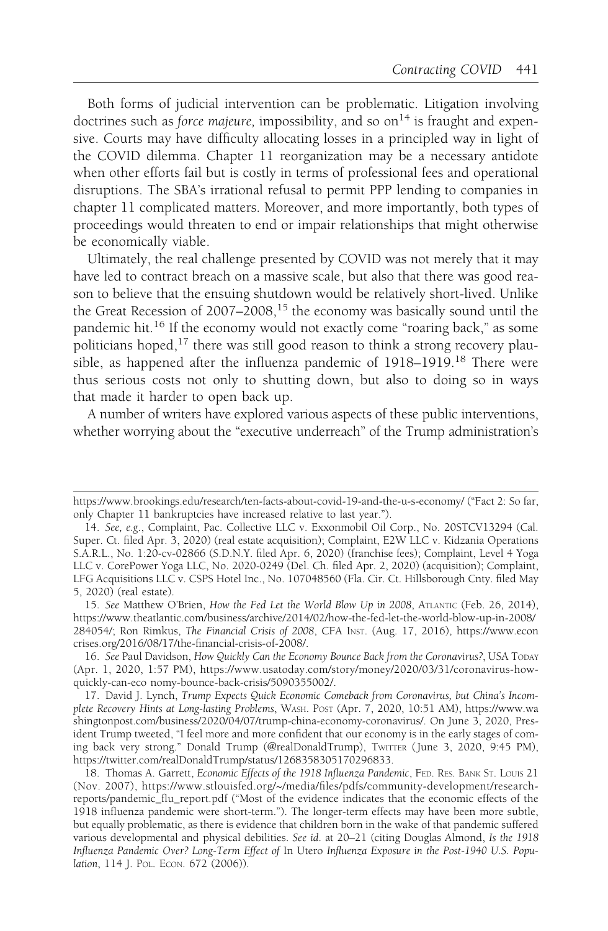Both forms of judicial intervention can be problematic. Litigation involving doctrines such as *force majeure*, impossibility, and so on<sup>14</sup> is fraught and expensive. Courts may have difficulty allocating losses in a principled way in light of the COVID dilemma. Chapter 11 reorganization may be a necessary antidote when other efforts fail but is costly in terms of professional fees and operational disruptions. The SBA's irrational refusal to permit PPP lending to companies in chapter 11 complicated matters. Moreover, and more importantly, both types of proceedings would threaten to end or impair relationships that might otherwise be economically viable.

Ultimately, the real challenge presented by COVID was not merely that it may have led to contract breach on a massive scale, but also that there was good reason to believe that the ensuing shutdown would be relatively short-lived. Unlike the Great Recession of 2007–2008,<sup>15</sup> the economy was basically sound until the pandemic hit.<sup>16</sup> If the economy would not exactly come "roaring back," as some politicians hoped, $17$  there was still good reason to think a strong recovery plausible, as happened after the influenza pandemic of 1918–1919.<sup>18</sup> There were thus serious costs not only to shutting down, but also to doing so in ways that made it harder to open back up.

A number of writers have explored various aspects of these public interventions, whether worrying about the "executive underreach" of the Trump administration's

https://www.brookings.edu/research/ten-facts-about-covid-19-and-the-u-s-economy/ ("Fact 2: So far, only Chapter 11 bankruptcies have increased relative to last year.").

<sup>14.</sup> See, e.g., Complaint, Pac. Collective LLC v. Exxonmobil Oil Corp., No. 20STCV13294 (Cal. Super. Ct. filed Apr. 3, 2020) (real estate acquisition); Complaint, E2W LLC v. Kidzania Operations S.A.R.L., No. 1:20-cv-02866 (S.D.N.Y. filed Apr. 6, 2020) (franchise fees); Complaint, Level 4 Yoga LLC v. CorePower Yoga LLC, No. 2020-0249 (Del. Ch. filed Apr. 2, 2020) (acquisition); Complaint, LFG Acquisitions LLC v. CSPS Hotel Inc., No. 107048560 (Fla. Cir. Ct. Hillsborough Cnty. filed May 5, 2020) (real estate).

<sup>15.</sup> See Matthew O'Brien, How the Fed Let the World Blow Up in 2008, ATLANTIC (Feb. 26, 2014), https://www.theatlantic.com/business/archive/2014/02/how-the-fed-let-the-world-blow-up-in-2008/ 284054/; Ron Rimkus, The Financial Crisis of 2008, CFA INST. (Aug. 17, 2016), https://www.econ crises.org/2016/08/17/the-financial-crisis-of-2008/.

<sup>16.</sup> See Paul Davidson, How Quickly Can the Economy Bounce Back from the Coronavirus?, USA TODAY (Apr. 1, 2020, 1:57 PM), https://www.usatoday.com/story/money/2020/03/31/coronavirus-howquickly-can-eco nomy-bounce-back-crisis/5090355002/.

<sup>17.</sup> David J. Lynch, Trump Expects Quick Economic Comeback from Coronavirus, but China's Incomplete Recovery Hints at Long-lasting Problems, WASH. POST (Apr. 7, 2020, 10:51 AM), https://www.wa shingtonpost.com/business/2020/04/07/trump-china-economy-coronavirus/. On June 3, 2020, President Trump tweeted, "I feel more and more confident that our economy is in the early stages of coming back very strong." Donald Trump (@realDonaldTrump), TWITTER ( June 3, 2020, 9:45 PM), https://twitter.com/realDonaldTrump/status/1268358305170296833.

<sup>18.</sup> Thomas A. Garrett, Economic Effects of the 1918 Influenza Pandemic, FED. RES. BANK ST. LOUIS 21 (Nov. 2007), https://www.stlouisfed.org/~/media/files/pdfs/community-development/researchreports/pandemic\_flu\_report.pdf ("Most of the evidence indicates that the economic effects of the 1918 influenza pandemic were short-term."). The longer-term effects may have been more subtle, but equally problematic, as there is evidence that children born in the wake of that pandemic suffered various developmental and physical debilities. See id. at 20–21 (citing Douglas Almond, Is the 1918 Influenza Pandemic Over? Long-Term Effect of In Utero Influenza Exposure in the Post-1940 U.S. Population, 114 J. POL. ECON. 672 (2006)).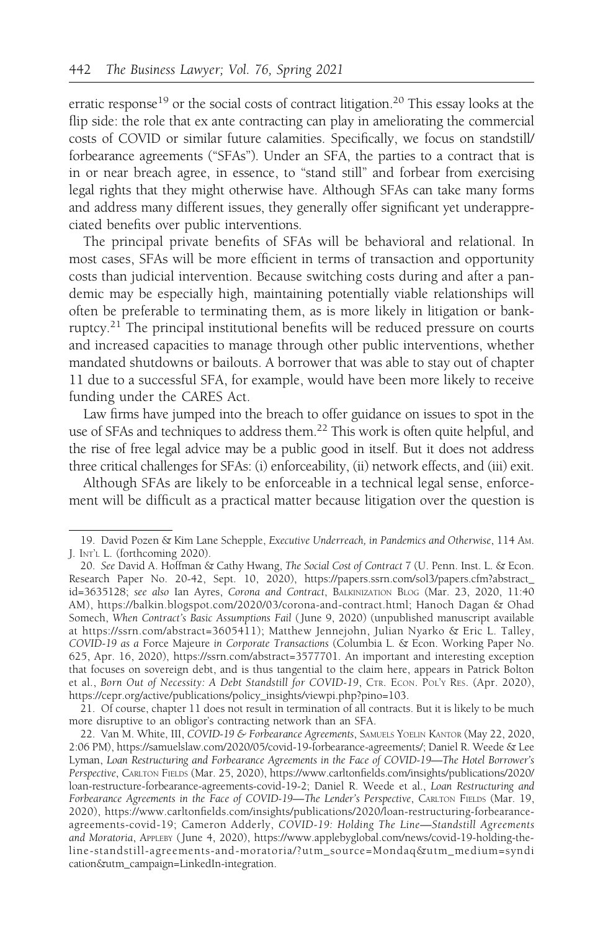erratic response<sup>19</sup> or the social costs of contract litigation.<sup>20</sup> This essay looks at the flip side: the role that ex ante contracting can play in ameliorating the commercial costs of COVID or similar future calamities. Specifically, we focus on standstill/ forbearance agreements ("SFAs"). Under an SFA, the parties to a contract that is in or near breach agree, in essence, to "stand still" and forbear from exercising legal rights that they might otherwise have. Although SFAs can take many forms and address many different issues, they generally offer significant yet underappreciated benefits over public interventions.

The principal private benefits of SFAs will be behavioral and relational. In most cases, SFAs will be more efficient in terms of transaction and opportunity costs than judicial intervention. Because switching costs during and after a pandemic may be especially high, maintaining potentially viable relationships will often be preferable to terminating them, as is more likely in litigation or bankruptcy.<sup>21</sup> The principal institutional benefits will be reduced pressure on courts and increased capacities to manage through other public interventions, whether mandated shutdowns or bailouts. A borrower that was able to stay out of chapter 11 due to a successful SFA, for example, would have been more likely to receive funding under the CARES Act.

Law firms have jumped into the breach to offer guidance on issues to spot in the use of SFAs and techniques to address them.22 This work is often quite helpful, and the rise of free legal advice may be a public good in itself. But it does not address three critical challenges for SFAs: (i) enforceability, (ii) network effects, and (iii) exit.

Although SFAs are likely to be enforceable in a technical legal sense, enforcement will be difficult as a practical matter because litigation over the question is

21. Of course, chapter 11 does not result in termination of all contracts. But it is likely to be much more disruptive to an obligor's contracting network than an SFA.

<sup>19.</sup> David Pozen & Kim Lane Schepple, Executive Underreach, in Pandemics and Otherwise, 114 AM. J. INT'L L. (forthcoming 2020).

<sup>20.</sup> See David A. Hoffman & Cathy Hwang, The Social Cost of Contract 7 (U. Penn. Inst. L. & Econ. Research Paper No. 20-42, Sept. 10, 2020), https://papers.ssrn.com/sol3/papers.cfm?abstract\_ id=3635128; see also Ian Ayres, Corona and Contract, BALKINIZATION BLOG (Mar. 23, 2020, 11:40 AM), https://balkin.blogspot.com/2020/03/corona-and-contract.html; Hanoch Dagan & Ohad Somech, When Contract's Basic Assumptions Fail ( June 9, 2020) (unpublished manuscript available at https://ssrn.com/abstract=3605411); Matthew Jennejohn, Julian Nyarko & Eric L. Talley, COVID-19 as a Force Majeure in Corporate Transactions (Columbia L. & Econ. Working Paper No. 625, Apr. 16, 2020), https://ssrn.com/abstract=3577701. An important and interesting exception that focuses on sovereign debt, and is thus tangential to the claim here, appears in Patrick Bolton et al., Born Out of Necessity: A Debt Standstill for COVID-19, CTR. ECON. POL'Y RES. (Apr. 2020), https://cepr.org/active/publications/policy\_insights/viewpi.php?pino=103.

<sup>22.</sup> Van M. White, III, COVID-19 & Forbearance Agreements, SAMUELS YOELIN KANTOR (May 22, 2020, 2:06 PM), https://samuelslaw.com/2020/05/covid-19-forbearance-agreements/; Daniel R. Weede & Lee Lyman, Loan Restructuring and Forbearance Agreements in the Face of COVID-19—The Hotel Borrower's Perspective, CARLTON FIELDS (Mar. 25, 2020), https://www.carltonfields.com/insights/publications/2020/ loan-restructure-forbearance-agreements-covid-19-2; Daniel R. Weede et al., Loan Restructuring and Forbearance Agreements in the Face of COVID-19-The Lender's Perspective, CARLTON FIELDS (Mar. 19, 2020), https://www.carltonfields.com/insights/publications/2020/loan-restructuring-forbearanceagreements-covid-19; Cameron Adderly, COVID-19: Holding The Line—Standstill Agreements and Moratoria, APPLEBY ( June 4, 2020), https://www.applebyglobal.com/news/covid-19-holding-theline-standstill-agreements-and-moratoria/?utm\_source=Mondaq&utm\_medium=syndi cation&utm\_campaign=LinkedIn-integration.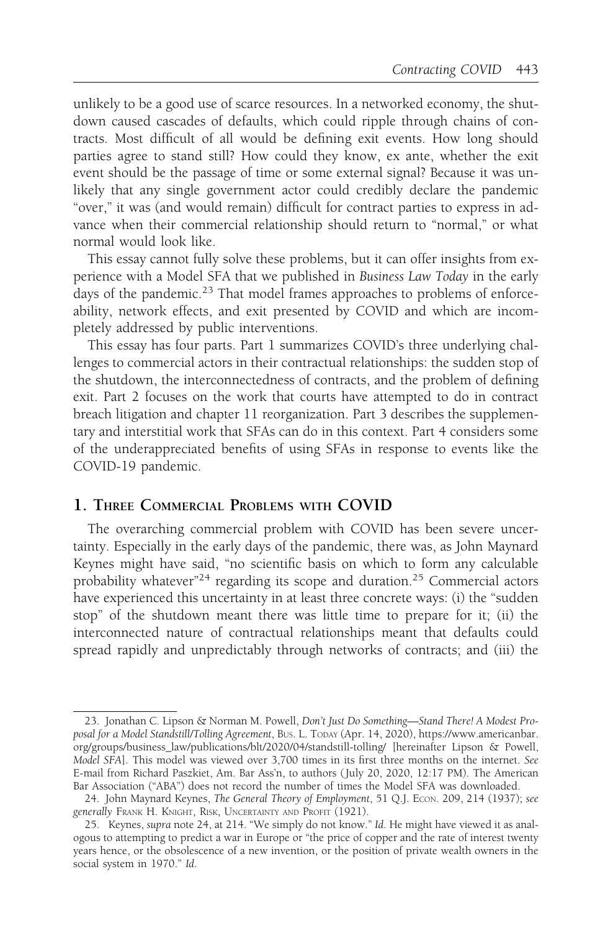unlikely to be a good use of scarce resources. In a networked economy, the shutdown caused cascades of defaults, which could ripple through chains of contracts. Most difficult of all would be defining exit events. How long should parties agree to stand still? How could they know, ex ante, whether the exit event should be the passage of time or some external signal? Because it was unlikely that any single government actor could credibly declare the pandemic "over," it was (and would remain) difficult for contract parties to express in advance when their commercial relationship should return to "normal," or what normal would look like.

This essay cannot fully solve these problems, but it can offer insights from experience with a Model SFA that we published in Business Law Today in the early days of the pandemic.<sup>23</sup> That model frames approaches to problems of enforceability, network effects, and exit presented by COVID and which are incompletely addressed by public interventions.

This essay has four parts. Part 1 summarizes COVID's three underlying challenges to commercial actors in their contractual relationships: the sudden stop of the shutdown, the interconnectedness of contracts, and the problem of defining exit. Part 2 focuses on the work that courts have attempted to do in contract breach litigation and chapter 11 reorganization. Part 3 describes the supplementary and interstitial work that SFAs can do in this context. Part 4 considers some of the underappreciated benefits of using SFAs in response to events like the COVID-19 pandemic.

## 1. THREE COMMERCIAL PROBLEMS WITH COVID

The overarching commercial problem with COVID has been severe uncertainty. Especially in the early days of the pandemic, there was, as John Maynard Keynes might have said, "no scientific basis on which to form any calculable probability whatever"<sup>24</sup> regarding its scope and duration.<sup>25</sup> Commercial actors have experienced this uncertainty in at least three concrete ways: (i) the "sudden stop" of the shutdown meant there was little time to prepare for it; (ii) the interconnected nature of contractual relationships meant that defaults could spread rapidly and unpredictably through networks of contracts; and (iii) the

<sup>23.</sup> Jonathan C. Lipson & Norman M. Powell, Don't Just Do Something—Stand There! A Modest Proposal for a Model Standstill/Tolling Agreement, BUS. L. TODAY (Apr. 14, 2020), https://www.americanbar. org/groups/business\_law/publications/blt/2020/04/standstill-tolling/ [hereinafter Lipson & Powell, Model SFA]. This model was viewed over 3,700 times in its first three months on the internet. See E-mail from Richard Paszkiet, Am. Bar Ass'n, to authors ( July 20, 2020, 12:17 PM). The American Bar Association ("ABA") does not record the number of times the Model SFA was downloaded.

<sup>24.</sup> John Maynard Keynes, The General Theory of Employment, 51 Q.J. Econ. 209, 214 (1937); see generally FRANK H. KNIGHT, RISK, UNCERTAINTY AND PROFIT (1921).

<sup>25.</sup> Keynes, supra note 24, at 214. "We simply do not know." Id. He might have viewed it as analogous to attempting to predict a war in Europe or "the price of copper and the rate of interest twenty years hence, or the obsolescence of a new invention, or the position of private wealth owners in the social system in 1970." Id.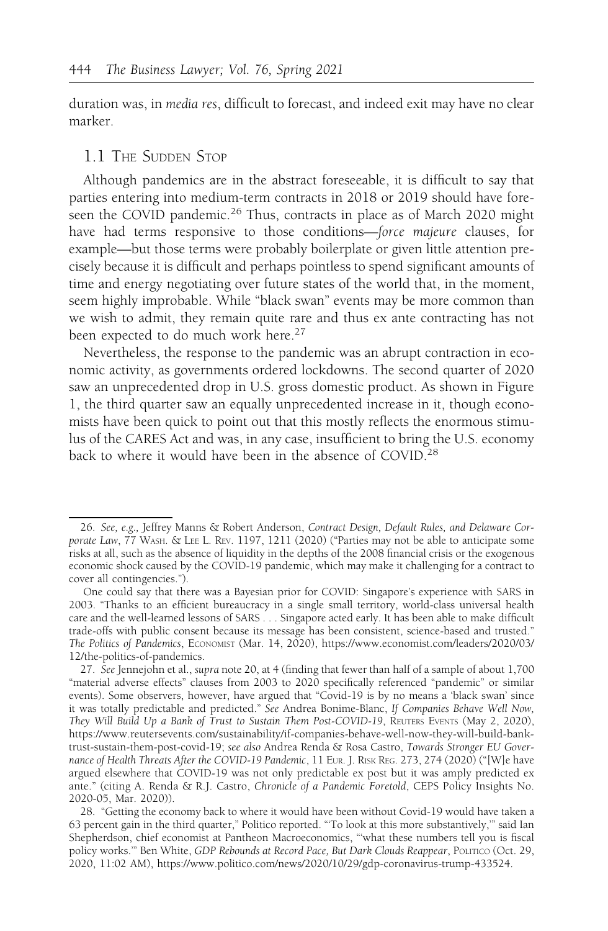duration was, in media res, difficult to forecast, and indeed exit may have no clear marker.

## 1.1 THE SUDDEN STOP

Although pandemics are in the abstract foreseeable, it is difficult to say that parties entering into medium-term contracts in 2018 or 2019 should have foreseen the COVID pandemic.<sup>26</sup> Thus, contracts in place as of March 2020 might have had terms responsive to those conditions—force majeure clauses, for example—but those terms were probably boilerplate or given little attention precisely because it is difficult and perhaps pointless to spend significant amounts of time and energy negotiating over future states of the world that, in the moment, seem highly improbable. While "black swan" events may be more common than we wish to admit, they remain quite rare and thus ex ante contracting has not been expected to do much work here.<sup>27</sup>

Nevertheless, the response to the pandemic was an abrupt contraction in economic activity, as governments ordered lockdowns. The second quarter of 2020 saw an unprecedented drop in U.S. gross domestic product. As shown in Figure 1, the third quarter saw an equally unprecedented increase in it, though economists have been quick to point out that this mostly reflects the enormous stimulus of the CARES Act and was, in any case, insufficient to bring the U.S. economy back to where it would have been in the absence of COVID.<sup>28</sup>

<sup>26.</sup> See, e.g., Jeffrey Manns & Robert Anderson, Contract Design, Default Rules, and Delaware Corporate Law, 77 WASH. & LEE L. REV. 1197, 1211 (2020) ("Parties may not be able to anticipate some risks at all, such as the absence of liquidity in the depths of the 2008 financial crisis or the exogenous economic shock caused by the COVID-19 pandemic, which may make it challenging for a contract to cover all contingencies.").

One could say that there was a Bayesian prior for COVID: Singapore's experience with SARS in 2003. "Thanks to an efficient bureaucracy in a single small territory, world-class universal health care and the well-learned lessons of SARS . . . Singapore acted early. It has been able to make difficult trade-offs with public consent because its message has been consistent, science-based and trusted." The Politics of Pandemics, ECONOMIST (Mar. 14, 2020), https://www.economist.com/leaders/2020/03/ 12/the-politics-of-pandemics.

<sup>27.</sup> See Jennejohn et al., supra note 20, at 4 (finding that fewer than half of a sample of about 1,700 "material adverse effects" clauses from 2003 to 2020 specifically referenced "pandemic" or similar events). Some observers, however, have argued that "Covid-19 is by no means a 'black swan' since it was totally predictable and predicted." See Andrea Bonime-Blanc, If Companies Behave Well Now, They Will Build Up a Bank of Trust to Sustain Them Post-COVID-19, REUTERS EVENTS (May 2, 2020), https://www.reutersevents.com/sustainability/if-companies-behave-well-now-they-will-build-banktrust-sustain-them-post-covid-19; see also Andrea Renda & Rosa Castro, Towards Stronger EU Governance of Health Threats After the COVID-19 Pandemic, 11 EUR. J. RISK REG. 273, 274 (2020) ("[W]e have argued elsewhere that COVID-19 was not only predictable ex post but it was amply predicted ex ante." (citing A. Renda & R.J. Castro, Chronicle of a Pandemic Foretold, CEPS Policy Insights No. 2020-05, Mar. 2020)).

<sup>28. &</sup>quot;Getting the economy back to where it would have been without Covid-19 would have taken a 63 percent gain in the third quarter," Politico reported. "'To look at this more substantively,'" said Ian Shepherdson, chief economist at Pantheon Macroeconomics, "'what these numbers tell you is fiscal policy works." Ben White, GDP Rebounds at Record Pace, But Dark Clouds Reappear, POLITICO (Oct. 29, 2020, 11:02 AM), https://www.politico.com/news/2020/10/29/gdp-coronavirus-trump-433524.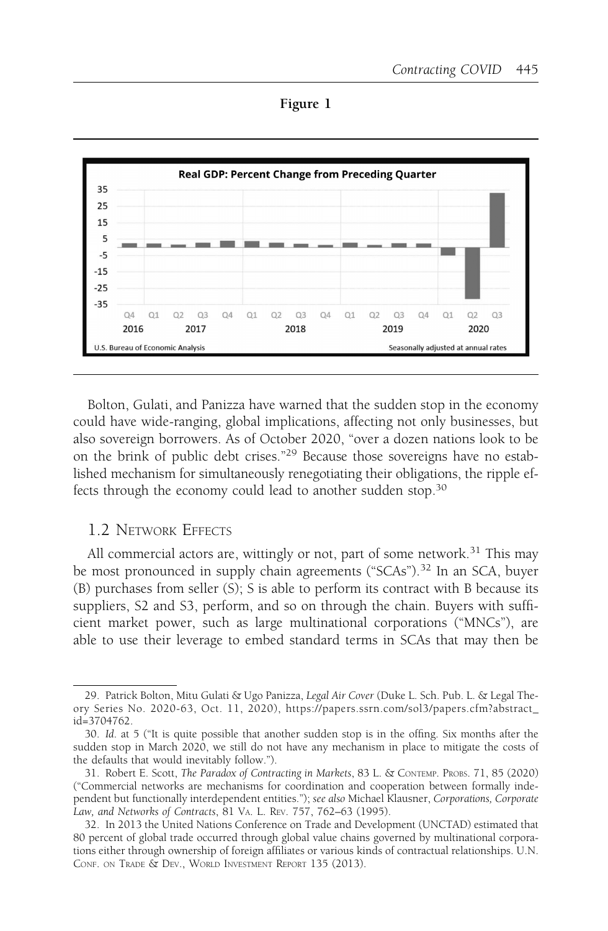Figure 1



Bolton, Gulati, and Panizza have warned that the sudden stop in the economy could have wide-ranging, global implications, affecting not only businesses, but also sovereign borrowers. As of October 2020, "over a dozen nations look to be on the brink of public debt crises."<sup>29</sup> Because those sovereigns have no established mechanism for simultaneously renegotiating their obligations, the ripple effects through the economy could lead to another sudden stop.<sup>30</sup>

## 1.2 NETWORK EFFECTS

All commercial actors are, wittingly or not, part of some network.<sup>31</sup> This may be most pronounced in supply chain agreements ("SCAs").<sup>32</sup> In an SCA, buyer (B) purchases from seller (S); S is able to perform its contract with B because its suppliers, S2 and S3, perform, and so on through the chain. Buyers with sufficient market power, such as large multinational corporations ("MNCs"), are able to use their leverage to embed standard terms in SCAs that may then be

<sup>29.</sup> Patrick Bolton, Mitu Gulati & Ugo Panizza, Legal Air Cover (Duke L. Sch. Pub. L. & Legal Theory Series No. 2020-63, Oct. 11, 2020), https://papers.ssrn.com/sol3/papers.cfm?abstract\_ id=3704762.

<sup>30.</sup> Id. at 5 ("It is quite possible that another sudden stop is in the offing. Six months after the sudden stop in March 2020, we still do not have any mechanism in place to mitigate the costs of the defaults that would inevitably follow.").

<sup>31.</sup> Robert E. Scott, The Paradox of Contracting in Markets, 83 L. & CONTEMP. PROBS. 71, 85 (2020) ("Commercial networks are mechanisms for coordination and cooperation between formally independent but functionally interdependent entities."); see also Michael Klausner, Corporations, Corporate Law, and Networks of Contracts, 81 VA. L. REV. 757, 762–63 (1995).

<sup>32.</sup> In 2013 the United Nations Conference on Trade and Development (UNCTAD) estimated that 80 percent of global trade occurred through global value chains governed by multinational corporations either through ownership of foreign affiliates or various kinds of contractual relationships. U.N. CONF. ON TRADE & DEV., WORLD INVESTMENT REPORT 135 (2013).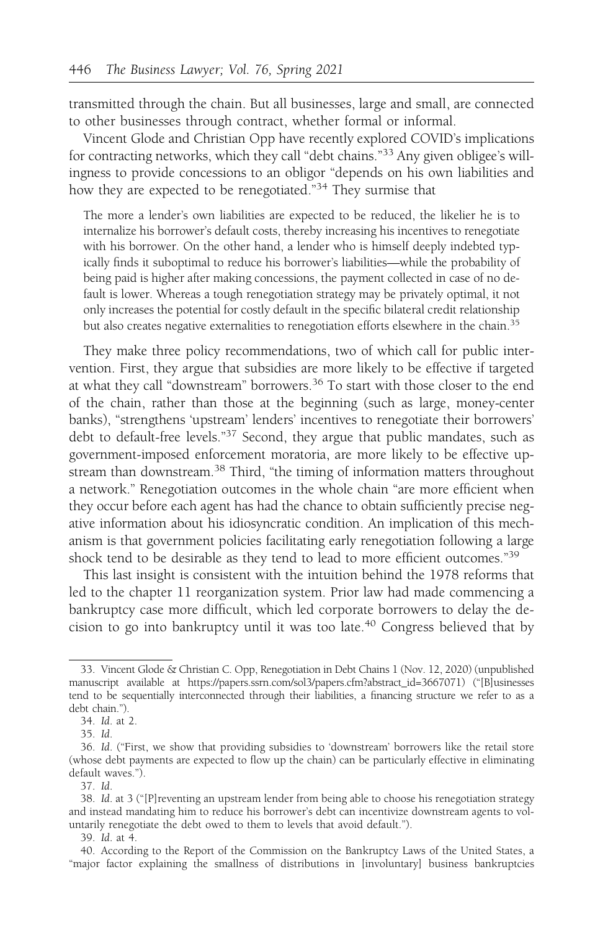transmitted through the chain. But all businesses, large and small, are connected to other businesses through contract, whether formal or informal.

Vincent Glode and Christian Opp have recently explored COVID's implications for contracting networks, which they call "debt chains."33 Any given obligee's willingness to provide concessions to an obligor "depends on his own liabilities and how they are expected to be renegotiated."34 They surmise that

The more a lender's own liabilities are expected to be reduced, the likelier he is to internalize his borrower's default costs, thereby increasing his incentives to renegotiate with his borrower. On the other hand, a lender who is himself deeply indebted typically finds it suboptimal to reduce his borrower's liabilities—while the probability of being paid is higher after making concessions, the payment collected in case of no default is lower. Whereas a tough renegotiation strategy may be privately optimal, it not only increases the potential for costly default in the specific bilateral credit relationship but also creates negative externalities to renegotiation efforts elsewhere in the chain.<sup>35</sup>

They make three policy recommendations, two of which call for public intervention. First, they argue that subsidies are more likely to be effective if targeted at what they call "downstream" borrowers.36 To start with those closer to the end of the chain, rather than those at the beginning (such as large, money-center banks), "strengthens 'upstream' lenders' incentives to renegotiate their borrowers' debt to default-free levels."37 Second, they argue that public mandates, such as government-imposed enforcement moratoria, are more likely to be effective upstream than downstream.<sup>38</sup> Third, "the timing of information matters throughout a network." Renegotiation outcomes in the whole chain "are more efficient when they occur before each agent has had the chance to obtain sufficiently precise negative information about his idiosyncratic condition. An implication of this mechanism is that government policies facilitating early renegotiation following a large shock tend to be desirable as they tend to lead to more efficient outcomes."39

This last insight is consistent with the intuition behind the 1978 reforms that led to the chapter 11 reorganization system. Prior law had made commencing a bankruptcy case more difficult, which led corporate borrowers to delay the decision to go into bankruptcy until it was too late.<sup>40</sup> Congress believed that by

37. Id.

<sup>33.</sup> Vincent Glode & Christian C. Opp, Renegotiation in Debt Chains 1 (Nov. 12, 2020) (unpublished manuscript available at https://papers.ssrn.com/sol3/papers.cfm?abstract\_id=3667071) ("[B]usinesses tend to be sequentially interconnected through their liabilities, a financing structure we refer to as a debt chain.").

<sup>34.</sup> Id. at 2.

<sup>35.</sup> Id.

<sup>36.</sup> Id. ("First, we show that providing subsidies to 'downstream' borrowers like the retail store (whose debt payments are expected to flow up the chain) can be particularly effective in eliminating default waves.").

<sup>38.</sup> Id. at 3 ("[P]reventing an upstream lender from being able to choose his renegotiation strategy and instead mandating him to reduce his borrower's debt can incentivize downstream agents to voluntarily renegotiate the debt owed to them to levels that avoid default.").

<sup>39.</sup> Id. at 4.

<sup>40.</sup> According to the Report of the Commission on the Bankruptcy Laws of the United States, a "major factor explaining the smallness of distributions in [involuntary] business bankruptcies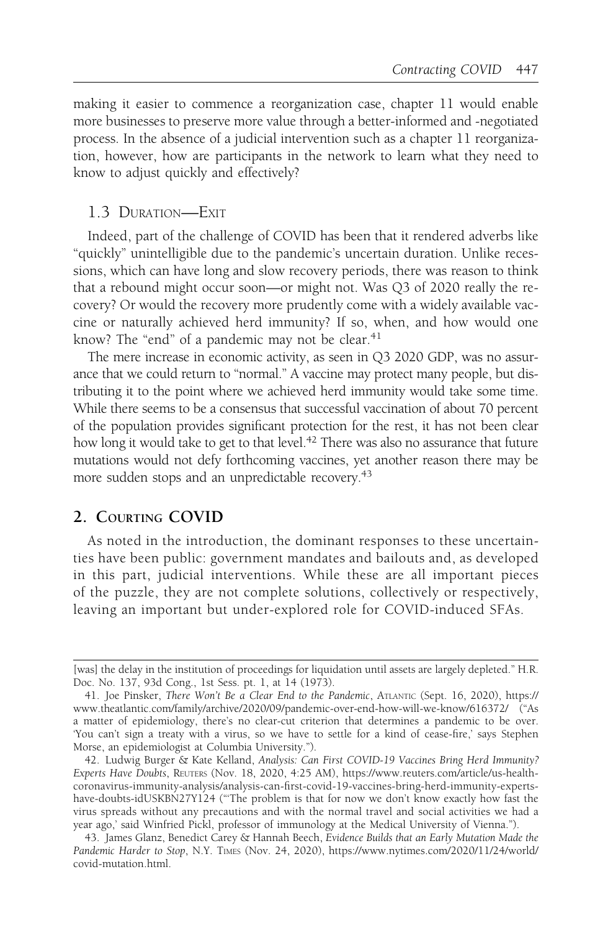making it easier to commence a reorganization case, chapter 11 would enable more businesses to preserve more value through a better-informed and -negotiated process. In the absence of a judicial intervention such as a chapter 11 reorganization, however, how are participants in the network to learn what they need to know to adjust quickly and effectively?

## 1.3 DURATION—EXIT

Indeed, part of the challenge of COVID has been that it rendered adverbs like "quickly" unintelligible due to the pandemic's uncertain duration. Unlike recessions, which can have long and slow recovery periods, there was reason to think that a rebound might occur soon—or might not. Was Q3 of 2020 really the recovery? Or would the recovery more prudently come with a widely available vaccine or naturally achieved herd immunity? If so, when, and how would one know? The "end" of a pandemic may not be clear. $41$ 

The mere increase in economic activity, as seen in Q3 2020 GDP, was no assurance that we could return to "normal." A vaccine may protect many people, but distributing it to the point where we achieved herd immunity would take some time. While there seems to be a consensus that successful vaccination of about 70 percent of the population provides significant protection for the rest, it has not been clear how long it would take to get to that level.<sup>42</sup> There was also no assurance that future mutations would not defy forthcoming vaccines, yet another reason there may be more sudden stops and an unpredictable recovery.<sup>43</sup>

## 2. COURTING COVID

As noted in the introduction, the dominant responses to these uncertainties have been public: government mandates and bailouts and, as developed in this part, judicial interventions. While these are all important pieces of the puzzle, they are not complete solutions, collectively or respectively, leaving an important but under-explored role for COVID-induced SFAs.

<sup>[</sup>was] the delay in the institution of proceedings for liquidation until assets are largely depleted." H.R. Doc. No. 137, 93d Cong., 1st Sess. pt. 1, at 14 (1973).

<sup>41.</sup> Joe Pinsker, There Won't Be a Clear End to the Pandemic, ATLANTIC (Sept. 16, 2020), https:// www.theatlantic.com/family/archive/2020/09/pandemic-over-end-how-will-we-know/616372/ ("As a matter of epidemiology, there's no clear-cut criterion that determines a pandemic to be over. 'You can't sign a treaty with a virus, so we have to settle for a kind of cease-fire,' says Stephen Morse, an epidemiologist at Columbia University.").

<sup>42.</sup> Ludwig Burger & Kate Kelland, Analysis: Can First COVID-19 Vaccines Bring Herd Immunity? Experts Have Doubts, REUTERS (Nov. 18, 2020, 4:25 AM), https://www.reuters.com/article/us-healthcoronavirus-immunity-analysis/analysis-can-first-covid-19-vaccines-bring-herd-immunity-expertshave-doubts-idUSKBN27Y124 ("'The problem is that for now we don't know exactly how fast the virus spreads without any precautions and with the normal travel and social activities we had a year ago,' said Winfried Pickl, professor of immunology at the Medical University of Vienna.").

<sup>43.</sup> James Glanz, Benedict Carey & Hannah Beech, Evidence Builds that an Early Mutation Made the Pandemic Harder to Stop, N.Y. TIMES (Nov. 24, 2020), https://www.nytimes.com/2020/11/24/world/ covid-mutation.html.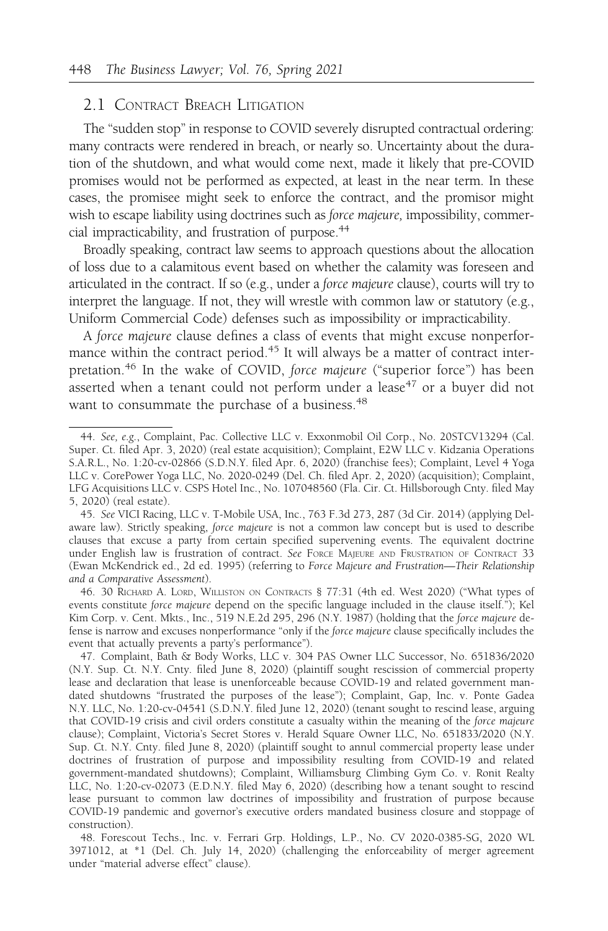## 2.1 CONTRACT BREACH LITIGATION

The "sudden stop" in response to COVID severely disrupted contractual ordering: many contracts were rendered in breach, or nearly so. Uncertainty about the duration of the shutdown, and what would come next, made it likely that pre-COVID promises would not be performed as expected, at least in the near term. In these cases, the promisee might seek to enforce the contract, and the promisor might wish to escape liability using doctrines such as force majeure, impossibility, commercial impracticability, and frustration of purpose.<sup>44</sup>

Broadly speaking, contract law seems to approach questions about the allocation of loss due to a calamitous event based on whether the calamity was foreseen and articulated in the contract. If so (e.g., under a force majeure clause), courts will try to interpret the language. If not, they will wrestle with common law or statutory (e.g., Uniform Commercial Code) defenses such as impossibility or impracticability.

A force majeure clause defines a class of events that might excuse nonperformance within the contract period.<sup>45</sup> It will always be a matter of contract interpretation.<sup>46</sup> In the wake of COVID, force majeure ("superior force") has been asserted when a tenant could not perform under a lease<sup>47</sup> or a buyer did not want to consummate the purchase of a business.<sup>48</sup>

46. 30 RICHARD A. LORD, WILLISTON ON CONTRACTS § 77:31 (4th ed. West 2020) ("What types of events constitute force majeure depend on the specific language included in the clause itself."); Kel Kim Corp. v. Cent. Mkts., Inc., 519 N.E.2d 295, 296 (N.Y. 1987) (holding that the force majeure defense is narrow and excuses nonperformance "only if the force majeure clause specifically includes the event that actually prevents a party's performance").

<sup>44.</sup> See, e.g., Complaint, Pac. Collective LLC v. Exxonmobil Oil Corp., No. 20STCV13294 (Cal. Super. Ct. filed Apr. 3, 2020) (real estate acquisition); Complaint, E2W LLC v. Kidzania Operations S.A.R.L., No. 1:20-cv-02866 (S.D.N.Y. filed Apr. 6, 2020) (franchise fees); Complaint, Level 4 Yoga LLC v. CorePower Yoga LLC, No. 2020-0249 (Del. Ch. filed Apr. 2, 2020) (acquisition); Complaint, LFG Acquisitions LLC v. CSPS Hotel Inc., No. 107048560 (Fla. Cir. Ct. Hillsborough Cnty. filed May 5, 2020) (real estate).

<sup>45.</sup> See VICI Racing, LLC v. T-Mobile USA, Inc., 763 F.3d 273, 287 (3d Cir. 2014) (applying Delaware law). Strictly speaking, force majeure is not a common law concept but is used to describe clauses that excuse a party from certain specified supervening events. The equivalent doctrine under English law is frustration of contract. See FORCE MAJEURE AND FRUSTRATION OF CONTRACT 33 (Ewan McKendrick ed., 2d ed. 1995) (referring to Force Majeure and Frustration—Their Relationship and a Comparative Assessment).

<sup>47.</sup> Complaint, Bath & Body Works, LLC v. 304 PAS Owner LLC Successor, No. 651836/2020 (N.Y. Sup. Ct. N.Y. Cnty. filed June 8, 2020) (plaintiff sought rescission of commercial property lease and declaration that lease is unenforceable because COVID-19 and related government mandated shutdowns "frustrated the purposes of the lease"); Complaint, Gap, Inc. v. Ponte Gadea N.Y. LLC, No. 1:20-cv-04541 (S.D.N.Y. filed June 12, 2020) (tenant sought to rescind lease, arguing that COVID-19 crisis and civil orders constitute a casualty within the meaning of the force majeure clause); Complaint, Victoria's Secret Stores v. Herald Square Owner LLC, No. 651833/2020 (N.Y. Sup. Ct. N.Y. Cnty. filed June 8, 2020) (plaintiff sought to annul commercial property lease under doctrines of frustration of purpose and impossibility resulting from COVID-19 and related government-mandated shutdowns); Complaint, Williamsburg Climbing Gym Co. v. Ronit Realty LLC, No. 1:20-cv-02073 (E.D.N.Y. filed May 6, 2020) (describing how a tenant sought to rescind lease pursuant to common law doctrines of impossibility and frustration of purpose because COVID-19 pandemic and governor's executive orders mandated business closure and stoppage of construction).

<sup>48.</sup> Forescout Techs., Inc. v. Ferrari Grp. Holdings, L.P., No. CV 2020-0385-SG, 2020 WL 3971012, at \*1 (Del. Ch. July 14, 2020) (challenging the enforceability of merger agreement under "material adverse effect" clause).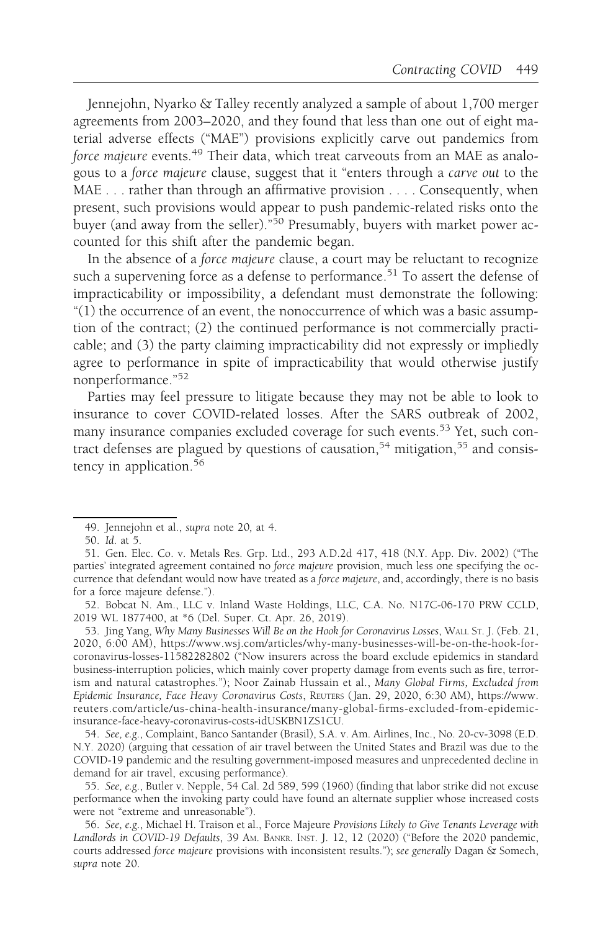Jennejohn, Nyarko & Talley recently analyzed a sample of about 1,700 merger agreements from 2003–2020, and they found that less than one out of eight material adverse effects ("MAE") provisions explicitly carve out pandemics from force majeure events.<sup>49</sup> Their data, which treat carveouts from an MAE as analogous to a force majeure clause, suggest that it "enters through a carve out to the MAE . . . rather than through an affirmative provision . . . . Consequently, when present, such provisions would appear to push pandemic-related risks onto the buyer (and away from the seller).<sup>"50</sup> Presumably, buyers with market power accounted for this shift after the pandemic began.

In the absence of a force majeure clause, a court may be reluctant to recognize such a supervening force as a defense to performance.<sup>51</sup> To assert the defense of impracticability or impossibility, a defendant must demonstrate the following: "(1) the occurrence of an event, the nonoccurrence of which was a basic assumption of the contract; (2) the continued performance is not commercially practicable; and (3) the party claiming impracticability did not expressly or impliedly agree to performance in spite of impracticability that would otherwise justify nonperformance."<sup>52</sup>

Parties may feel pressure to litigate because they may not be able to look to insurance to cover COVID-related losses. After the SARS outbreak of 2002, many insurance companies excluded coverage for such events.<sup>53</sup> Yet, such contract defenses are plagued by questions of causation,<sup>54</sup> mitigation,<sup>55</sup> and consistency in application.<sup>56</sup>

<sup>49.</sup> Jennejohn et al., supra note 20, at 4.

<sup>50.</sup> Id. at 5.

<sup>51.</sup> Gen. Elec. Co. v. Metals Res. Grp. Ltd., 293 A.D.2d 417, 418 (N.Y. App. Div. 2002) ("The parties' integrated agreement contained no force majeure provision, much less one specifying the occurrence that defendant would now have treated as a force majeure, and, accordingly, there is no basis for a force majeure defense.").

<sup>52.</sup> Bobcat N. Am., LLC v. Inland Waste Holdings, LLC, C.A. No. N17C-06-170 PRW CCLD, 2019 WL 1877400, at \*6 (Del. Super. Ct. Apr. 26, 2019).

<sup>53.</sup> Jing Yang, Why Many Businesses Will Be on the Hook for Coronavirus Losses, WALL ST. J. (Feb. 21, 2020, 6:00 AM), https://www.wsj.com/articles/why-many-businesses-will-be-on-the-hook-forcoronavirus-losses-11582282802 ("Now insurers across the board exclude epidemics in standard business-interruption policies, which mainly cover property damage from events such as fire, terrorism and natural catastrophes."); Noor Zainab Hussain et al., Many Global Firms, Excluded from Epidemic Insurance, Face Heavy Coronavirus Costs, REUTERS ( Jan. 29, 2020, 6:30 AM), https://www. reuters.com/article/us-china-health-insurance/many-global-firms-excluded-from-epidemicinsurance-face-heavy-coronavirus-costs-idUSKBN1ZS1CU.

<sup>54.</sup> See, e.g., Complaint, Banco Santander (Brasil), S.A. v. Am. Airlines, Inc., No. 20-cv-3098 (E.D. N.Y. 2020) (arguing that cessation of air travel between the United States and Brazil was due to the COVID-19 pandemic and the resulting government-imposed measures and unprecedented decline in demand for air travel, excusing performance).

<sup>55.</sup> See, e.g., Butler v. Nepple, 54 Cal. 2d 589, 599 (1960) (finding that labor strike did not excuse performance when the invoking party could have found an alternate supplier whose increased costs were not "extreme and unreasonable").

<sup>56.</sup> See, e.g., Michael H. Traison et al., Force Majeure Provisions Likely to Give Tenants Leverage with Landlords in COVID-19 Defaults, 39 AM. BANKR. INST. J. 12, 12 (2020) ("Before the 2020 pandemic, courts addressed force majeure provisions with inconsistent results."); see generally Dagan & Somech, supra note 20.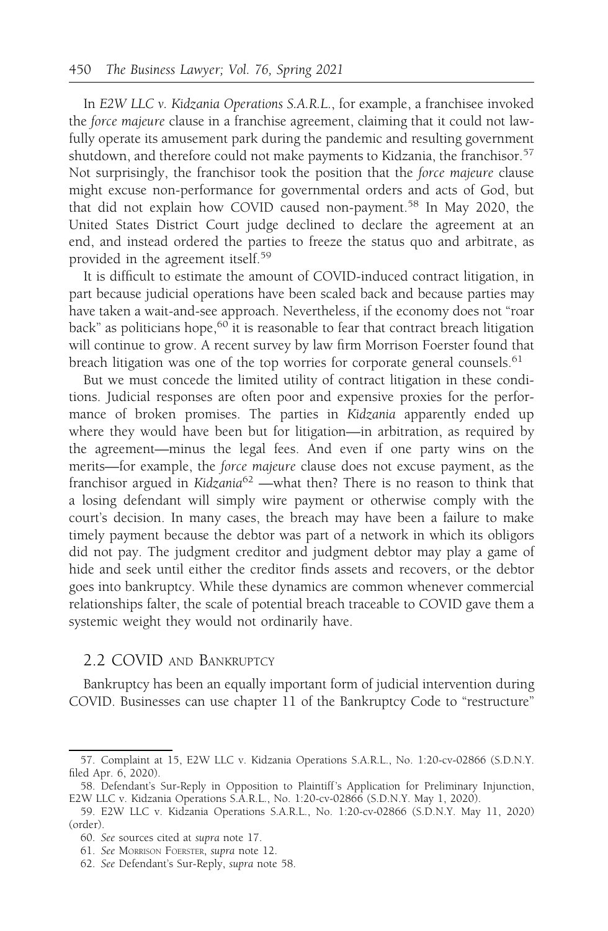In E2W LLC v. Kidzania Operations S.A.R.L., for example, a franchisee invoked the force majeure clause in a franchise agreement, claiming that it could not lawfully operate its amusement park during the pandemic and resulting government shutdown, and therefore could not make payments to Kidzania, the franchisor.<sup>57</sup> Not surprisingly, the franchisor took the position that the force majeure clause might excuse non-performance for governmental orders and acts of God, but that did not explain how COVID caused non-payment.<sup>58</sup> In May 2020, the United States District Court judge declined to declare the agreement at an end, and instead ordered the parties to freeze the status quo and arbitrate, as provided in the agreement itself.<sup>59</sup>

It is difficult to estimate the amount of COVID-induced contract litigation, in part because judicial operations have been scaled back and because parties may have taken a wait-and-see approach. Nevertheless, if the economy does not "roar back" as politicians hope, $60$  it is reasonable to fear that contract breach litigation will continue to grow. A recent survey by law firm Morrison Foerster found that breach litigation was one of the top worries for corporate general counsels.<sup>61</sup>

But we must concede the limited utility of contract litigation in these conditions. Judicial responses are often poor and expensive proxies for the performance of broken promises. The parties in Kidzania apparently ended up where they would have been but for litigation—in arbitration, as required by the agreement—minus the legal fees. And even if one party wins on the merits—for example, the force majeure clause does not excuse payment, as the franchisor argued in Kidzania<sup>62</sup> —what then? There is no reason to think that a losing defendant will simply wire payment or otherwise comply with the court's decision. In many cases, the breach may have been a failure to make timely payment because the debtor was part of a network in which its obligors did not pay. The judgment creditor and judgment debtor may play a game of hide and seek until either the creditor finds assets and recovers, or the debtor goes into bankruptcy. While these dynamics are common whenever commercial relationships falter, the scale of potential breach traceable to COVID gave them a systemic weight they would not ordinarily have.

## 2.2 COVID AND BANKRUPTCY

Bankruptcy has been an equally important form of judicial intervention during COVID. Businesses can use chapter 11 of the Bankruptcy Code to "restructure"

<sup>57.</sup> Complaint at 15, E2W LLC v. Kidzania Operations S.A.R.L., No. 1:20-cv-02866 (S.D.N.Y. filed Apr. 6, 2020).

<sup>58.</sup> Defendant's Sur-Reply in Opposition to Plaintiff 's Application for Preliminary Injunction, E2W LLC v. Kidzania Operations S.A.R.L., No. 1:20-cv-02866 (S.D.N.Y. May 1, 2020).

<sup>59.</sup> E2W LLC v. Kidzania Operations S.A.R.L., No. 1:20-cv-02866 (S.D.N.Y. May 11, 2020) (order).

<sup>60.</sup> See sources cited at supra note 17.

<sup>61.</sup> See MORRISON FOERSTER, supra note 12.

<sup>62.</sup> See Defendant's Sur-Reply, supra note 58.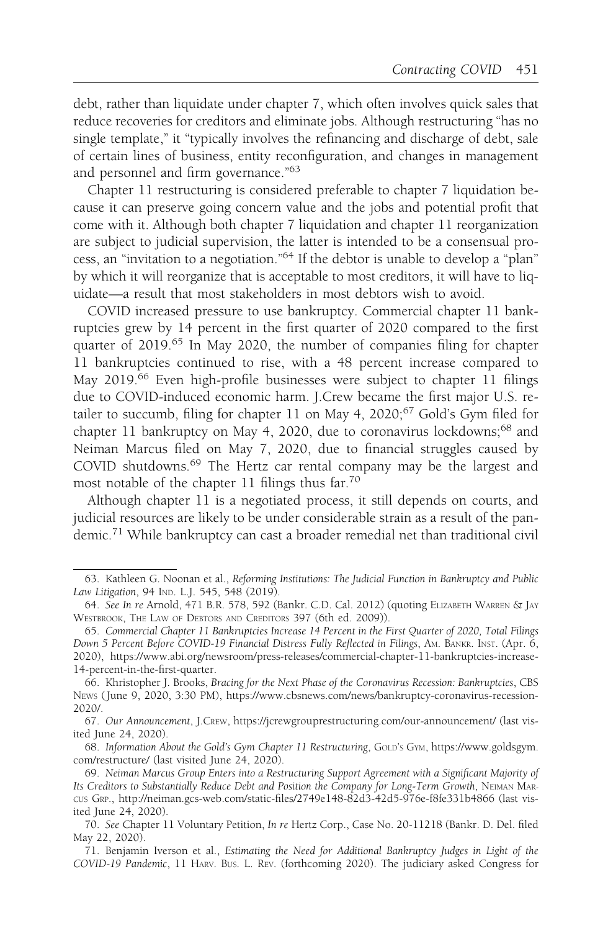debt, rather than liquidate under chapter 7, which often involves quick sales that reduce recoveries for creditors and eliminate jobs. Although restructuring "has no single template," it "typically involves the refinancing and discharge of debt, sale of certain lines of business, entity reconfiguration, and changes in management and personnel and firm governance."63

Chapter 11 restructuring is considered preferable to chapter 7 liquidation because it can preserve going concern value and the jobs and potential profit that come with it. Although both chapter 7 liquidation and chapter 11 reorganization are subject to judicial supervision, the latter is intended to be a consensual process, an "invitation to a negotiation."64 If the debtor is unable to develop a "plan" by which it will reorganize that is acceptable to most creditors, it will have to liquidate—a result that most stakeholders in most debtors wish to avoid.

COVID increased pressure to use bankruptcy. Commercial chapter 11 bankruptcies grew by 14 percent in the first quarter of 2020 compared to the first quarter of 2019.<sup>65</sup> In May 2020, the number of companies filing for chapter 11 bankruptcies continued to rise, with a 48 percent increase compared to May 2019.<sup>66</sup> Even high-profile businesses were subject to chapter 11 filings due to COVID-induced economic harm. J.Crew became the first major U.S. retailer to succumb, filing for chapter 11 on May 4, 2020;<sup>67</sup> Gold's Gym filed for chapter 11 bankruptcy on May 4, 2020, due to coronavirus lockdowns;<sup>68</sup> and Neiman Marcus filed on May 7, 2020, due to financial struggles caused by COVID shutdowns.<sup>69</sup> The Hertz car rental company may be the largest and most notable of the chapter 11 filings thus far.70

Although chapter 11 is a negotiated process, it still depends on courts, and judicial resources are likely to be under considerable strain as a result of the pandemic.<sup>71</sup> While bankruptcy can cast a broader remedial net than traditional civil

<sup>63.</sup> Kathleen G. Noonan et al., Reforming Institutions: The Judicial Function in Bankruptcy and Public Law Litigation, 94 IND. L.J. 545, 548 (2019).

<sup>64.</sup> See In re Arnold, 471 B.R. 578, 592 (Bankr. C.D. Cal. 2012) (quoting ELIZABETH WARREN & JAY WESTBROOK, THE LAW OF DEBTORS AND CREDITORS 397 (6th ed. 2009)).

<sup>65.</sup> Commercial Chapter 11 Bankruptcies Increase 14 Percent in the First Quarter of 2020, Total Filings Down 5 Percent Before COVID-19 Financial Distress Fully Reflected in Filings, AM. BANKR. INST. (Apr. 6, 2020), https://www.abi.org/newsroom/press-releases/commercial-chapter-11-bankruptcies-increase-14-percent-in-the-first-quarter.

<sup>66.</sup> Khristopher J. Brooks, Bracing for the Next Phase of the Coronavirus Recession: Bankruptcies, CBS NEWS ( June 9, 2020, 3:30 PM), https://www.cbsnews.com/news/bankruptcy-coronavirus-recession-2020/.

<sup>67.</sup> Our Announcement, J.CREW, https://jcrewgrouprestructuring.com/our-announcement/ (last visited June 24, 2020).

<sup>68.</sup> Information About the Gold's Gym Chapter 11 Restructuring, GOLD'S GYM, https://www.goldsgym. com/restructure/ (last visited June 24, 2020).

<sup>69.</sup> Neiman Marcus Group Enters into a Restructuring Support Agreement with a Significant Majority of Its Creditors to Substantially Reduce Debt and Position the Company for Long-Term Growth, NEIMAN MAR-CUS GRP., http://neiman.gcs-web.com/static-files/2749e148-82d3-42d5-976e-f8fe331b4866 (last visited June 24, 2020).

<sup>70.</sup> See Chapter 11 Voluntary Petition, In re Hertz Corp., Case No. 20-11218 (Bankr. D. Del. filed May 22, 2020).

<sup>71.</sup> Benjamin Iverson et al., Estimating the Need for Additional Bankruptcy Judges in Light of the COVID-19 Pandemic, 11 HARV. BUS. L. REV. (forthcoming 2020). The judiciary asked Congress for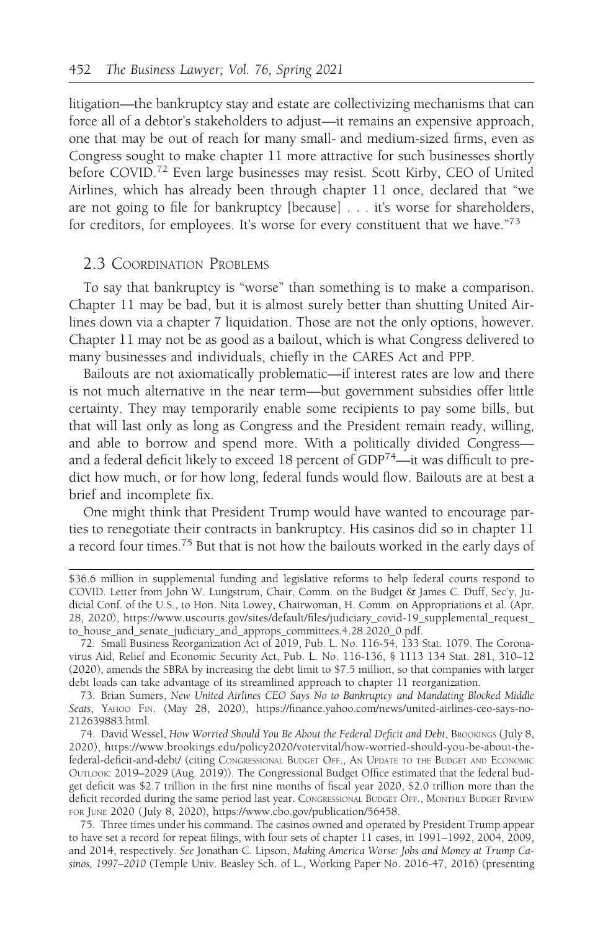litigation—the bankruptcy stay and estate are collectivizing mechanisms that can force all of a debtor's stakeholders to adjust—it remains an expensive approach, one that may be out of reach for many small- and medium-sized firms, even as Congress sought to make chapter 11 more attractive for such businesses shortly before COVID.<sup>72</sup> Even large businesses may resist. Scott Kirby, CEO of United Airlines, which has already been through chapter 11 once, declared that "we are not going to file for bankruptcy [because] . . . it's worse for shareholders, for creditors, for employees. It's worse for every constituent that we have."<sup>73</sup>

#### 2.3 COORDINATION PROBLEMS

To say that bankruptcy is "worse" than something is to make a comparison. Chapter 11 may be bad, but it is almost surely better than shutting United Airlines down via a chapter 7 liquidation. Those are not the only options, however. Chapter 11 may not be as good as a bailout, which is what Congress delivered to many businesses and individuals, chiefly in the CARES Act and PPP.

Bailouts are not axiomatically problematic—if interest rates are low and there is not much alternative in the near term—but government subsidies offer little certainty. They may temporarily enable some recipients to pay some bills, but that will last only as long as Congress and the President remain ready, willing, and able to borrow and spend more. With a politically divided Congress and a federal deficit likely to exceed 18 percent of GDP74—it was difficult to predict how much, or for how long, federal funds would flow. Bailouts are at best a brief and incomplete fix.

One might think that President Trump would have wanted to encourage parties to renegotiate their contracts in bankruptcy. His casinos did so in chapter 11 a record four times.75 But that is not how the bailouts worked in the early days of

<sup>\$36.6</sup> million in supplemental funding and legislative reforms to help federal courts respond to COVID. Letter from John W. Lungstrum, Chair, Comm. on the Budget & James C. Duff, Sec'y, Judicial Conf. of the U.S., to Hon. Nita Lowey, Chairwoman, H. Comm. on Appropriations et al. (Apr. 28, 2020), https://www.uscourts.gov/sites/default/files/judiciary\_covid-19\_supplemental\_request\_ to\_house\_and\_senate\_judiciary\_and\_approps\_committees.4.28.2020\_0.pdf.

<sup>72.</sup> Small Business Reorganization Act of 2019, Pub. L. No. 116-54, 133 Stat. 1079. The Coronavirus Aid, Relief and Economic Security Act, Pub. L. No. 116-136, § 1113 134 Stat. 281, 310–12 (2020), amends the SBRA by increasing the debt limit to \$7.5 million, so that companies with larger debt loads can take advantage of its streamlined approach to chapter 11 reorganization.

<sup>73.</sup> Brian Sumers, New United Airlines CEO Says No to Bankruptcy and Mandating Blocked Middle Seats, YAHOO FIN. (May 28, 2020), https://finance.yahoo.com/news/united-airlines-ceo-says-no-212639883.html.

<sup>74.</sup> David Wessel, How Worried Should You Be About the Federal Deficit and Debt, BROOKINGS (July 8, 2020), https://www.brookings.edu/policy2020/votervital/how-worried-should-you-be-about-thefederal-deficit-and-debt/ (citing CONGRESSIONAL BUDGET OFF., AN UPDATE TO THE BUDGET AND ECONOMIC OUTLOOK: 2019–2029 (Aug. 2019)). The Congressional Budget Office estimated that the federal budget deficit was \$2.7 trillion in the first nine months of fiscal year 2020, \$2.0 trillion more than the deficit recorded during the same period last year. CONGRESSIONAL BUDGET OFF., MONTHLY BUDGET REVIEW FOR JUNE 2020 ( July 8, 2020), https://www.cbo.gov/publication/56458.

<sup>75.</sup> Three times under his command. The casinos owned and operated by President Trump appear to have set a record for repeat filings, with four sets of chapter 11 cases, in 1991–1992, 2004, 2009, and 2014, respectively. See Jonathan C. Lipson, Making America Worse: Jobs and Money at Trump Casinos, 1997–2010 (Temple Univ. Beasley Sch. of L., Working Paper No. 2016-47, 2016) (presenting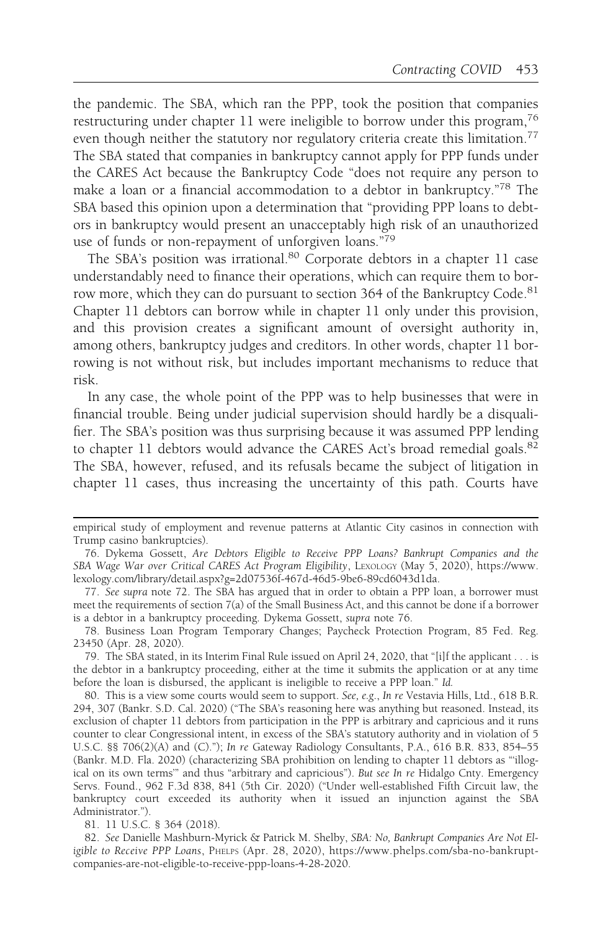the pandemic. The SBA, which ran the PPP, took the position that companies restructuring under chapter 11 were ineligible to borrow under this program,<sup>76</sup> even though neither the statutory nor regulatory criteria create this limitation.<sup>77</sup> The SBA stated that companies in bankruptcy cannot apply for PPP funds under the CARES Act because the Bankruptcy Code "does not require any person to make a loan or a financial accommodation to a debtor in bankruptcy."78 The SBA based this opinion upon a determination that "providing PPP loans to debtors in bankruptcy would present an unacceptably high risk of an unauthorized use of funds or non-repayment of unforgiven loans."<sup>79</sup>

The SBA's position was irrational.<sup>80</sup> Corporate debtors in a chapter 11 case understandably need to finance their operations, which can require them to borrow more, which they can do pursuant to section 364 of the Bankruptcy Code.<sup>81</sup> Chapter 11 debtors can borrow while in chapter 11 only under this provision, and this provision creates a significant amount of oversight authority in, among others, bankruptcy judges and creditors. In other words, chapter 11 borrowing is not without risk, but includes important mechanisms to reduce that risk.

In any case, the whole point of the PPP was to help businesses that were in financial trouble. Being under judicial supervision should hardly be a disqualifier. The SBA's position was thus surprising because it was assumed PPP lending to chapter 11 debtors would advance the CARES Act's broad remedial goals.<sup>82</sup> The SBA, however, refused, and its refusals became the subject of litigation in chapter 11 cases, thus increasing the uncertainty of this path. Courts have

81. 11 U.S.C. § 364 (2018).

empirical study of employment and revenue patterns at Atlantic City casinos in connection with Trump casino bankruptcies).

<sup>76.</sup> Dykema Gossett, Are Debtors Eligible to Receive PPP Loans? Bankrupt Companies and the SBA Wage War over Critical CARES Act Program Eligibility, LEXOLOGY (May 5, 2020), https://www. lexology.com/library/detail.aspx?g=2d07536f-467d-46d5-9be6-89cd6043d1da.

<sup>77.</sup> See supra note 72. The SBA has argued that in order to obtain a PPP loan, a borrower must meet the requirements of section 7(a) of the Small Business Act, and this cannot be done if a borrower is a debtor in a bankruptcy proceeding. Dykema Gossett, supra note 76.

<sup>78.</sup> Business Loan Program Temporary Changes; Paycheck Protection Program, 85 Fed. Reg. 23450 (Apr. 28, 2020).

<sup>79.</sup> The SBA stated, in its Interim Final Rule issued on April 24, 2020, that "[i]f the applicant . . . is the debtor in a bankruptcy proceeding, either at the time it submits the application or at any time before the loan is disbursed, the applicant is ineligible to receive a PPP loan." Id.

<sup>80.</sup> This is a view some courts would seem to support. See, e.g., In re Vestavia Hills, Ltd., 618 B.R. 294, 307 (Bankr. S.D. Cal. 2020) ("The SBA's reasoning here was anything but reasoned. Instead, its exclusion of chapter 11 debtors from participation in the PPP is arbitrary and capricious and it runs counter to clear Congressional intent, in excess of the SBA's statutory authority and in violation of 5 U.S.C. §§ 706(2)(A) and (C)."); In re Gateway Radiology Consultants, P.A., 616 B.R. 833, 854–55 (Bankr. M.D. Fla. 2020) (characterizing SBA prohibition on lending to chapter 11 debtors as "'illogical on its own terms" and thus "arbitrary and capricious"). But see In re Hidalgo Cnty. Emergency Servs. Found., 962 F.3d 838, 841 (5th Cir. 2020) ("Under well-established Fifth Circuit law, the bankruptcy court exceeded its authority when it issued an injunction against the SBA Administrator.").

<sup>82.</sup> See Danielle Mashburn-Myrick & Patrick M. Shelby, SBA: No, Bankrupt Companies Are Not Eligible to Receive PPP Loans, PHELPS (Apr. 28, 2020), https://www.phelps.com/sba-no-bankruptcompanies-are-not-eligible-to-receive-ppp-loans-4-28-2020.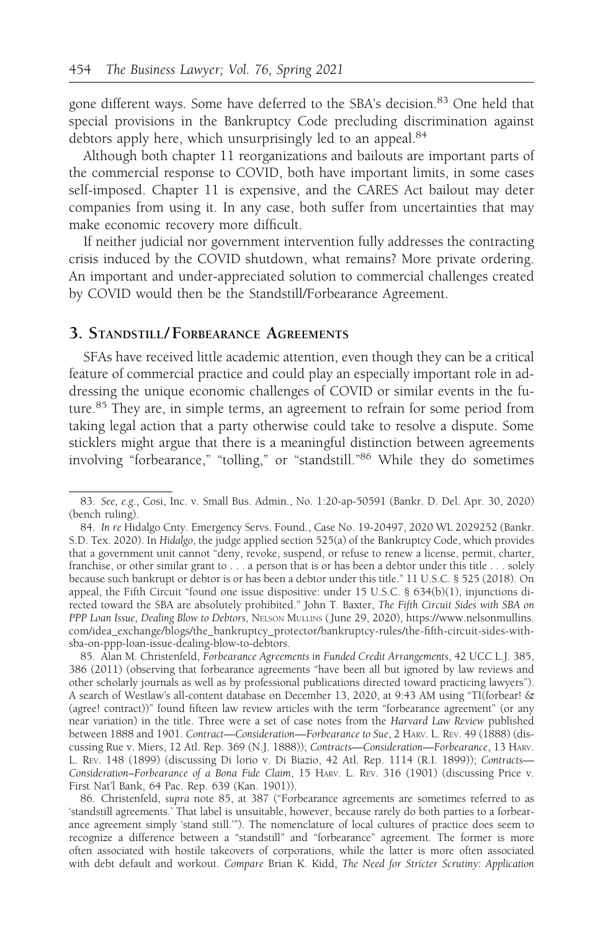gone different ways. Some have deferred to the SBA's decision.<sup>83</sup> One held that special provisions in the Bankruptcy Code precluding discrimination against debtors apply here, which unsurprisingly led to an appeal.<sup>84</sup>

Although both chapter 11 reorganizations and bailouts are important parts of the commercial response to COVID, both have important limits, in some cases self-imposed. Chapter 11 is expensive, and the CARES Act bailout may deter companies from using it. In any case, both suffer from uncertainties that may make economic recovery more difficult.

If neither judicial nor government intervention fully addresses the contracting crisis induced by the COVID shutdown, what remains? More private ordering. An important and under-appreciated solution to commercial challenges created by COVID would then be the Standstill/Forbearance Agreement.

## 3. STANDSTILL/ FORBEARANCE AGREEMENTS

SFAs have received little academic attention, even though they can be a critical feature of commercial practice and could play an especially important role in addressing the unique economic challenges of COVID or similar events in the future.<sup>85</sup> They are, in simple terms, an agreement to refrain for some period from taking legal action that a party otherwise could take to resolve a dispute. Some sticklers might argue that there is a meaningful distinction between agreements involving "forbearance," "tolling," or "standstill."86 While they do sometimes

<sup>83.</sup> See, e.g., Cosi, Inc. v. Small Bus. Admin., No. 1:20-ap-50591 (Bankr. D. Del. Apr. 30, 2020) (bench ruling).

<sup>84.</sup> In re Hidalgo Cnty. Emergency Servs. Found., Case No. 19-20497, 2020 WL 2029252 (Bankr. S.D. Tex. 2020). In Hidalgo, the judge applied section 525(a) of the Bankruptcy Code, which provides that a government unit cannot "deny, revoke, suspend, or refuse to renew a license, permit, charter, franchise, or other similar grant to . . . a person that is or has been a debtor under this title . . . solely because such bankrupt or debtor is or has been a debtor under this title." 11 U.S.C. § 525 (2018). On appeal, the Fifth Circuit "found one issue dispositive: under 15 U.S.C. § 634(b)(1), injunctions directed toward the SBA are absolutely prohibited." John T. Baxter, The Fifth Circuit Sides with SBA on PPP Loan Issue, Dealing Blow to Debtors, NELSON MULLINS (June 29, 2020), https://www.nelsonmullins. com/idea\_exchange/blogs/the\_bankruptcy\_protector/bankruptcy-rules/the-fifth-circuit-sides-withsba-on-ppp-loan-issue-dealing-blow-to-debtors.

<sup>85.</sup> Alan M. Christenfeld, Forbearance Agreements in Funded Credit Arrangements, 42 UCC L.J. 385, 386 (2011) (observing that forbearance agreements "have been all but ignored by law reviews and other scholarly journals as well as by professional publications directed toward practicing lawyers"). A search of Westlaw's all-content database on December 13, 2020, at 9:43 AM using "TI(forbear! & (agree! contract))" found fifteen law review articles with the term "forbearance agreement" (or any near variation) in the title. Three were a set of case notes from the Harvard Law Review published between 1888 and 1901. Contract—Consideration—Forbearance to Sue, 2 HARV. L. REV. 49 (1888) (discussing Rue v. Miers, 12 Atl. Rep. 369 (N.J. 1888)); Contracts—Consideration—Forbearance, 13 HARV. L. REV. 148 (1899) (discussing Di lorio v. Di Biazio, 42 Atl. Rep. 1114 (R.I. 1899)); Contracts— Consideration–Forbearance of a Bona Fide Claim, 15 HARV. L. REV. 316 (1901) (discussing Price v. First Nat'l Bank, 64 Pac. Rep. 639 (Kan. 1901)).

<sup>86.</sup> Christenfeld, supra note 85, at 387 ("Forbearance agreements are sometimes referred to as 'standstill agreements.' That label is unsuitable, however, because rarely do both parties to a forbearance agreement simply 'stand still.'"). The nomenclature of local cultures of practice does seem to recognize a difference between a "standstill" and "forbearance" agreement. The former is more often associated with hostile takeovers of corporations, while the latter is more often associated with debt default and workout. Compare Brian K. Kidd, The Need for Stricter Scrutiny: Application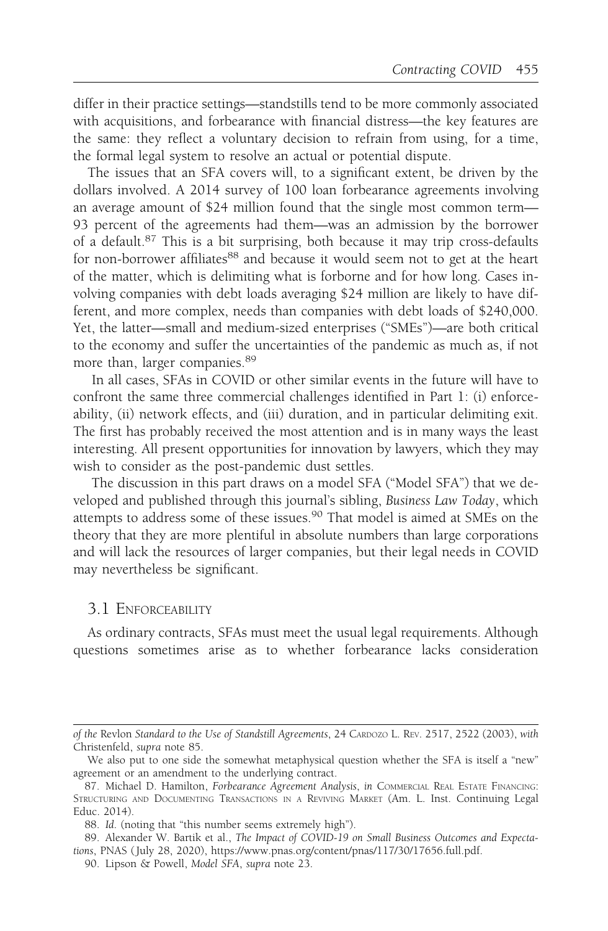differ in their practice settings—standstills tend to be more commonly associated with acquisitions, and forbearance with financial distress—the key features are the same: they reflect a voluntary decision to refrain from using, for a time, the formal legal system to resolve an actual or potential dispute.

The issues that an SFA covers will, to a significant extent, be driven by the dollars involved. A 2014 survey of 100 loan forbearance agreements involving an average amount of \$24 million found that the single most common term— 93 percent of the agreements had them—was an admission by the borrower of a default.<sup>87</sup> This is a bit surprising, both because it may trip cross-defaults for non-borrower affiliates<sup>88</sup> and because it would seem not to get at the heart of the matter, which is delimiting what is forborne and for how long. Cases involving companies with debt loads averaging \$24 million are likely to have different, and more complex, needs than companies with debt loads of \$240,000. Yet, the latter—small and medium-sized enterprises ("SMEs")—are both critical to the economy and suffer the uncertainties of the pandemic as much as, if not more than, larger companies.<sup>89</sup>

In all cases, SFAs in COVID or other similar events in the future will have to confront the same three commercial challenges identified in Part 1: (i) enforceability, (ii) network effects, and (iii) duration, and in particular delimiting exit. The first has probably received the most attention and is in many ways the least interesting. All present opportunities for innovation by lawyers, which they may wish to consider as the post-pandemic dust settles.

The discussion in this part draws on a model SFA ("Model SFA") that we developed and published through this journal's sibling, Business Law Today, which attempts to address some of these issues.<sup>90</sup> That model is aimed at SMEs on the theory that they are more plentiful in absolute numbers than large corporations and will lack the resources of larger companies, but their legal needs in COVID may nevertheless be significant.

#### 3.1 ENFORCEABILITY

As ordinary contracts, SFAs must meet the usual legal requirements. Although questions sometimes arise as to whether forbearance lacks consideration

of the Revlon Standard to the Use of Standstill Agreements, 24 CARDOZO L. REV. 2517, 2522 (2003), with Christenfeld, supra note 85.

We also put to one side the somewhat metaphysical question whether the SFA is itself a "new" agreement or an amendment to the underlying contract.

<sup>87.</sup> Michael D. Hamilton, Forbearance Agreement Analysis, in COMMERCIAL REAL ESTATE FINANCING: STRUCTURING AND DOCUMENTING TRANSACTIONS IN A REVIVING MARKET (Am. L. Inst. Continuing Legal Educ. 2014).

<sup>88.</sup> Id. (noting that "this number seems extremely high").

<sup>89.</sup> Alexander W. Bartik et al., The Impact of COVID-19 on Small Business Outcomes and Expectations, PNAS ( July 28, 2020), https://www.pnas.org/content/pnas/117/30/17656.full.pdf.

<sup>90.</sup> Lipson & Powell, Model SFA, supra note 23.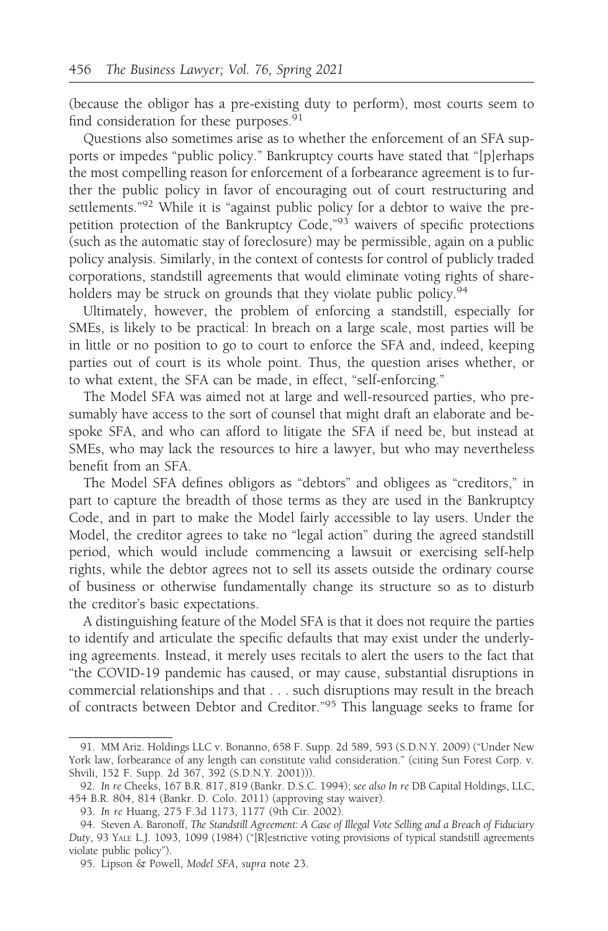(because the obligor has a pre-existing duty to perform), most courts seem to find consideration for these purposes.<sup>91</sup>

Questions also sometimes arise as to whether the enforcement of an SFA supports or impedes "public policy." Bankruptcy courts have stated that "[p]erhaps the most compelling reason for enforcement of a forbearance agreement is to further the public policy in favor of encouraging out of court restructuring and settlements."<sup>92</sup> While it is "against public policy for a debtor to waive the prepetition protection of the Bankruptcy Code,"93 waivers of specific protections (such as the automatic stay of foreclosure) may be permissible, again on a public policy analysis. Similarly, in the context of contests for control of publicly traded corporations, standstill agreements that would eliminate voting rights of shareholders may be struck on grounds that they violate public policy.<sup>94</sup>

Ultimately, however, the problem of enforcing a standstill, especially for SMEs, is likely to be practical: In breach on a large scale, most parties will be in little or no position to go to court to enforce the SFA and, indeed, keeping parties out of court is its whole point. Thus, the question arises whether, or to what extent, the SFA can be made, in effect, "self-enforcing."

The Model SFA was aimed not at large and well-resourced parties, who presumably have access to the sort of counsel that might draft an elaborate and bespoke SFA, and who can afford to litigate the SFA if need be, but instead at SMEs, who may lack the resources to hire a lawyer, but who may nevertheless benefit from an SFA.

The Model SFA defines obligors as "debtors" and obligees as "creditors," in part to capture the breadth of those terms as they are used in the Bankruptcy Code, and in part to make the Model fairly accessible to lay users. Under the Model, the creditor agrees to take no "legal action" during the agreed standstill period, which would include commencing a lawsuit or exercising self-help rights, while the debtor agrees not to sell its assets outside the ordinary course of business or otherwise fundamentally change its structure so as to disturb the creditor's basic expectations.

A distinguishing feature of the Model SFA is that it does not require the parties to identify and articulate the specific defaults that may exist under the underlying agreements. Instead, it merely uses recitals to alert the users to the fact that "the COVID-19 pandemic has caused, or may cause, substantial disruptions in commercial relationships and that . . . such disruptions may result in the breach of contracts between Debtor and Creditor."<sup>95</sup> This language seeks to frame for

<sup>91.</sup> MM Ariz. Holdings LLC v. Bonanno, 658 F. Supp. 2d 589, 593 (S.D.N.Y. 2009) ("Under New York law, forbearance of any length can constitute valid consideration." (citing Sun Forest Corp. v. Shvili, 152 F. Supp. 2d 367, 392 (S.D.N.Y. 2001))).

<sup>92.</sup> In re Cheeks, 167 B.R. 817, 819 (Bankr. D.S.C. 1994); see also In re DB Capital Holdings, LLC, 454 B.R. 804, 814 (Bankr. D. Colo. 2011) (approving stay waiver).

<sup>93.</sup> In re Huang, 275 F.3d 1173, 1177 (9th Cir. 2002).

<sup>94.</sup> Steven A. Baronoff, The Standstill Agreement: A Case of Illegal Vote Selling and a Breach of Fiduciary Duty, 93 YALE L.J. 1093, 1099 (1984) ("[R]estrictive voting provisions of typical standstill agreements violate public policy").

<sup>95.</sup> Lipson & Powell, Model SFA, supra note 23.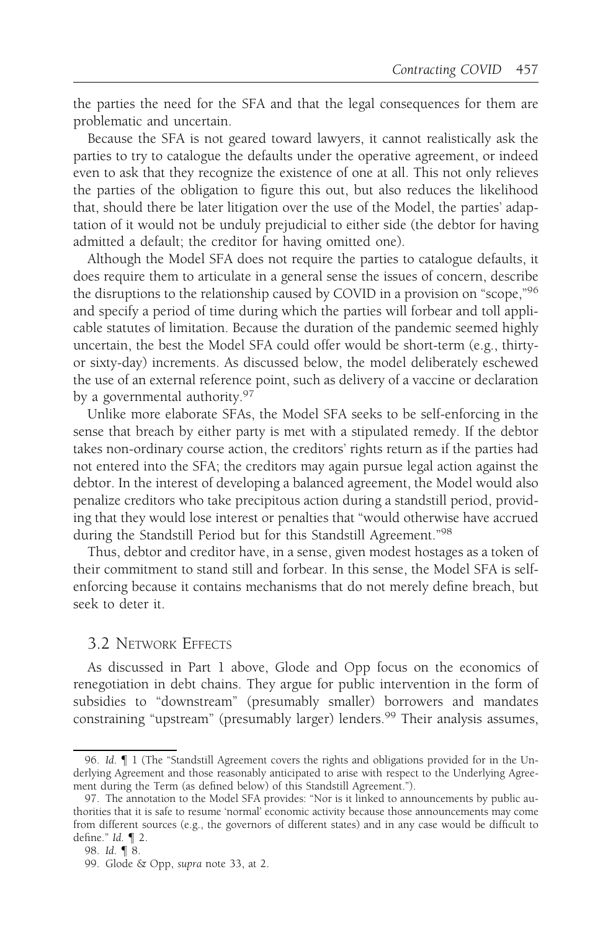the parties the need for the SFA and that the legal consequences for them are problematic and uncertain.

Because the SFA is not geared toward lawyers, it cannot realistically ask the parties to try to catalogue the defaults under the operative agreement, or indeed even to ask that they recognize the existence of one at all. This not only relieves the parties of the obligation to figure this out, but also reduces the likelihood that, should there be later litigation over the use of the Model, the parties' adaptation of it would not be unduly prejudicial to either side (the debtor for having admitted a default; the creditor for having omitted one).

Although the Model SFA does not require the parties to catalogue defaults, it does require them to articulate in a general sense the issues of concern, describe the disruptions to the relationship caused by COVID in a provision on "scope,"<sup>96</sup> and specify a period of time during which the parties will forbear and toll applicable statutes of limitation. Because the duration of the pandemic seemed highly uncertain, the best the Model SFA could offer would be short-term (e.g., thirtyor sixty-day) increments. As discussed below, the model deliberately eschewed the use of an external reference point, such as delivery of a vaccine or declaration by a governmental authority.<sup>97</sup>

Unlike more elaborate SFAs, the Model SFA seeks to be self-enforcing in the sense that breach by either party is met with a stipulated remedy. If the debtor takes non-ordinary course action, the creditors' rights return as if the parties had not entered into the SFA; the creditors may again pursue legal action against the debtor. In the interest of developing a balanced agreement, the Model would also penalize creditors who take precipitous action during a standstill period, providing that they would lose interest or penalties that "would otherwise have accrued during the Standstill Period but for this Standstill Agreement."98

Thus, debtor and creditor have, in a sense, given modest hostages as a token of their commitment to stand still and forbear. In this sense, the Model SFA is selfenforcing because it contains mechanisms that do not merely define breach, but seek to deter it.

## 3.2 NETWORK EFFECTS

As discussed in Part 1 above, Glode and Opp focus on the economics of renegotiation in debt chains. They argue for public intervention in the form of subsidies to "downstream" (presumably smaller) borrowers and mandates constraining "upstream" (presumably larger) lenders.<sup>99</sup> Their analysis assumes,

<sup>96.</sup> Id. ¶ 1 (The "Standstill Agreement covers the rights and obligations provided for in the Underlying Agreement and those reasonably anticipated to arise with respect to the Underlying Agreement during the Term (as defined below) of this Standstill Agreement.").

<sup>97.</sup> The annotation to the Model SFA provides: "Nor is it linked to announcements by public authorities that it is safe to resume 'normal' economic activity because those announcements may come from different sources (e.g., the governors of different states) and in any case would be difficult to define." Id. ¶ 2.

<sup>98.</sup> Id. ¶ 8.

<sup>99.</sup> Glode & Opp, supra note 33, at 2.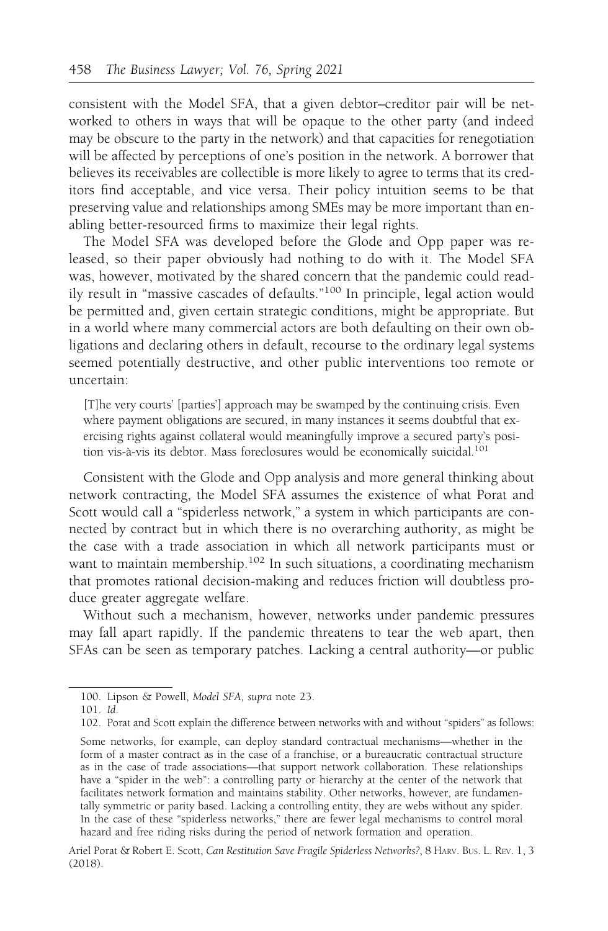consistent with the Model SFA, that a given debtor–creditor pair will be networked to others in ways that will be opaque to the other party (and indeed may be obscure to the party in the network) and that capacities for renegotiation will be affected by perceptions of one's position in the network. A borrower that believes its receivables are collectible is more likely to agree to terms that its creditors find acceptable, and vice versa. Their policy intuition seems to be that preserving value and relationships among SMEs may be more important than enabling better-resourced firms to maximize their legal rights.

The Model SFA was developed before the Glode and Opp paper was released, so their paper obviously had nothing to do with it. The Model SFA was, however, motivated by the shared concern that the pandemic could readily result in "massive cascades of defaults."<sup>100</sup> In principle, legal action would be permitted and, given certain strategic conditions, might be appropriate. But in a world where many commercial actors are both defaulting on their own obligations and declaring others in default, recourse to the ordinary legal systems seemed potentially destructive, and other public interventions too remote or uncertain:

[T]he very courts' [parties'] approach may be swamped by the continuing crisis. Even where payment obligations are secured, in many instances it seems doubtful that exercising rights against collateral would meaningfully improve a secured party's position vis-à-vis its debtor. Mass foreclosures would be economically suicidal.<sup>101</sup>

Consistent with the Glode and Opp analysis and more general thinking about network contracting, the Model SFA assumes the existence of what Porat and Scott would call a "spiderless network," a system in which participants are connected by contract but in which there is no overarching authority, as might be the case with a trade association in which all network participants must or want to maintain membership.<sup>102</sup> In such situations, a coordinating mechanism that promotes rational decision-making and reduces friction will doubtless produce greater aggregate welfare.

Without such a mechanism, however, networks under pandemic pressures may fall apart rapidly. If the pandemic threatens to tear the web apart, then SFAs can be seen as temporary patches. Lacking a central authority—or public

<sup>100.</sup> Lipson & Powell, Model SFA, supra note 23.

<sup>101.</sup> Id.

<sup>102.</sup> Porat and Scott explain the difference between networks with and without "spiders" as follows:

Some networks, for example, can deploy standard contractual mechanisms—whether in the form of a master contract as in the case of a franchise, or a bureaucratic contractual structure as in the case of trade associations—that support network collaboration. These relationships have a "spider in the web": a controlling party or hierarchy at the center of the network that facilitates network formation and maintains stability. Other networks, however, are fundamentally symmetric or parity based. Lacking a controlling entity, they are webs without any spider. In the case of these "spiderless networks," there are fewer legal mechanisms to control moral hazard and free riding risks during the period of network formation and operation.

Ariel Porat & Robert E. Scott, Can Restitution Save Fragile Spiderless Networks?, 8 HARV. BUS. L. REV. 1, 3 (2018).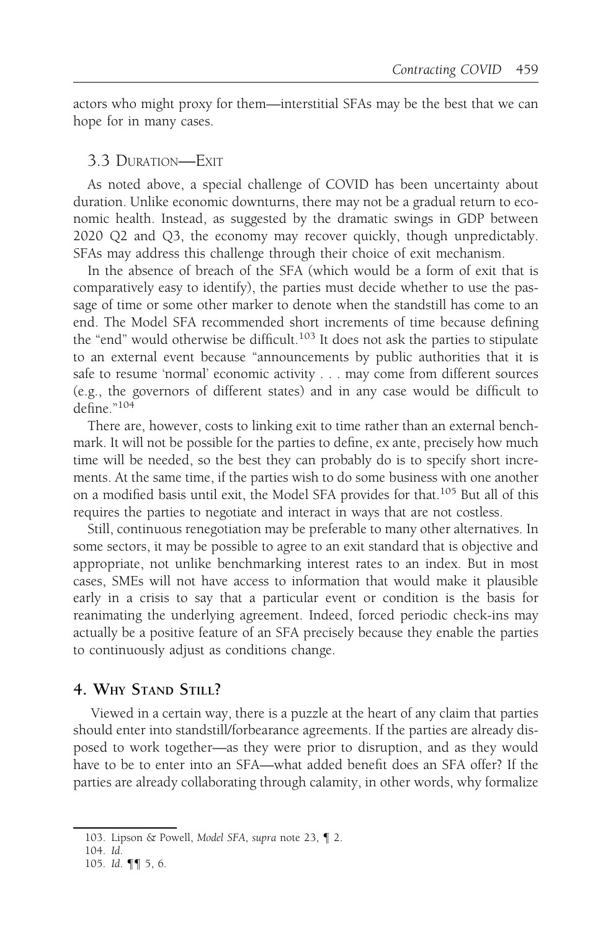actors who might proxy for them—interstitial SFAs may be the best that we can hope for in many cases.

## 3.3 DURATION—EXIT

As noted above, a special challenge of COVID has been uncertainty about duration. Unlike economic downturns, there may not be a gradual return to economic health. Instead, as suggested by the dramatic swings in GDP between 2020 Q2 and Q3, the economy may recover quickly, though unpredictably. SFAs may address this challenge through their choice of exit mechanism.

In the absence of breach of the SFA (which would be a form of exit that is comparatively easy to identify), the parties must decide whether to use the passage of time or some other marker to denote when the standstill has come to an end. The Model SFA recommended short increments of time because defining the "end" would otherwise be difficult.<sup>103</sup> It does not ask the parties to stipulate to an external event because "announcements by public authorities that it is safe to resume 'normal' economic activity . . . may come from different sources (e.g., the governors of different states) and in any case would be difficult to define."<sup>104</sup>

There are, however, costs to linking exit to time rather than an external benchmark. It will not be possible for the parties to define, ex ante, precisely how much time will be needed, so the best they can probably do is to specify short increments. At the same time, if the parties wish to do some business with one another on a modified basis until exit, the Model SFA provides for that.105 But all of this requires the parties to negotiate and interact in ways that are not costless.

Still, continuous renegotiation may be preferable to many other alternatives. In some sectors, it may be possible to agree to an exit standard that is objective and appropriate, not unlike benchmarking interest rates to an index. But in most cases, SMEs will not have access to information that would make it plausible early in a crisis to say that a particular event or condition is the basis for reanimating the underlying agreement. Indeed, forced periodic check-ins may actually be a positive feature of an SFA precisely because they enable the parties to continuously adjust as conditions change.

## 4. WHY STAND STILL?

Viewed in a certain way, there is a puzzle at the heart of any claim that parties should enter into standstill/forbearance agreements. If the parties are already disposed to work together—as they were prior to disruption, and as they would have to be to enter into an SFA—what added benefit does an SFA offer? If the parties are already collaborating through calamity, in other words, why formalize

<sup>103.</sup> Lipson & Powell, Model SFA, supra note 23, ¶ 2.

<sup>104.</sup> Id.

<sup>105.</sup> Id. ¶¶ 5, 6.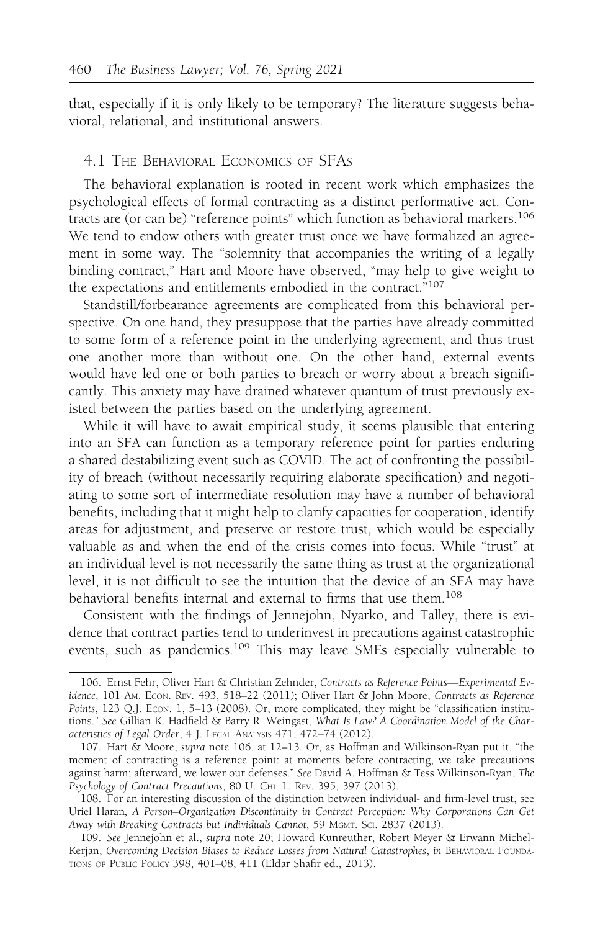that, especially if it is only likely to be temporary? The literature suggests behavioral, relational, and institutional answers.

#### 4.1 THE BEHAVIORAL ECONOMICS OF SFAS

The behavioral explanation is rooted in recent work which emphasizes the psychological effects of formal contracting as a distinct performative act. Contracts are (or can be) "reference points" which function as behavioral markers.<sup>106</sup> We tend to endow others with greater trust once we have formalized an agreement in some way. The "solemnity that accompanies the writing of a legally binding contract," Hart and Moore have observed, "may help to give weight to the expectations and entitlements embodied in the contract."<sup>107</sup>

Standstill/forbearance agreements are complicated from this behavioral perspective. On one hand, they presuppose that the parties have already committed to some form of a reference point in the underlying agreement, and thus trust one another more than without one. On the other hand, external events would have led one or both parties to breach or worry about a breach significantly. This anxiety may have drained whatever quantum of trust previously existed between the parties based on the underlying agreement.

While it will have to await empirical study, it seems plausible that entering into an SFA can function as a temporary reference point for parties enduring a shared destabilizing event such as COVID. The act of confronting the possibility of breach (without necessarily requiring elaborate specification) and negotiating to some sort of intermediate resolution may have a number of behavioral benefits, including that it might help to clarify capacities for cooperation, identify areas for adjustment, and preserve or restore trust, which would be especially valuable as and when the end of the crisis comes into focus. While "trust" at an individual level is not necessarily the same thing as trust at the organizational level, it is not difficult to see the intuition that the device of an SFA may have behavioral benefits internal and external to firms that use them.<sup>108</sup>

Consistent with the findings of Jennejohn, Nyarko, and Talley, there is evidence that contract parties tend to underinvest in precautions against catastrophic events, such as pandemics.<sup>109</sup> This may leave SMEs especially vulnerable to

<sup>106.</sup> Ernst Fehr, Oliver Hart & Christian Zehnder, Contracts as Reference Points—Experimental Evidence, 101 AM. ECON. REV. 493, 518–22 (2011); Oliver Hart & John Moore, Contracts as Reference Points, 123 Q.J. Econ. 1, 5-13 (2008). Or, more complicated, they might be "classification institutions." See Gillian K. Hadfield & Barry R. Weingast, What Is Law? A Coordination Model of the Characteristics of Legal Order, 4 J. LEGAL ANALYSIS 471, 472–74 (2012).

<sup>107.</sup> Hart & Moore, supra note 106, at 12–13. Or, as Hoffman and Wilkinson-Ryan put it, "the moment of contracting is a reference point: at moments before contracting, we take precautions against harm; afterward, we lower our defenses." See David A. Hoffman & Tess Wilkinson-Ryan, The Psychology of Contract Precautions, 80 U. CHI. L. REV. 395, 397 (2013).

<sup>108.</sup> For an interesting discussion of the distinction between individual- and firm-level trust, see Uriel Haran, A Person–Organization Discontinuity in Contract Perception: Why Corporations Can Get Away with Breaking Contracts but Individuals Cannot, 59 MGMT. SCI. 2837 (2013).

<sup>109.</sup> See Jennejohn et al., supra note 20; Howard Kunreuther, Robert Meyer & Erwann Michel-Kerjan, Overcoming Decision Biases to Reduce Losses from Natural Catastrophes, in BEHAVIORAL FOUNDA-TIONS OF PUBLIC POLICY 398, 401–08, 411 (Eldar Shafir ed., 2013).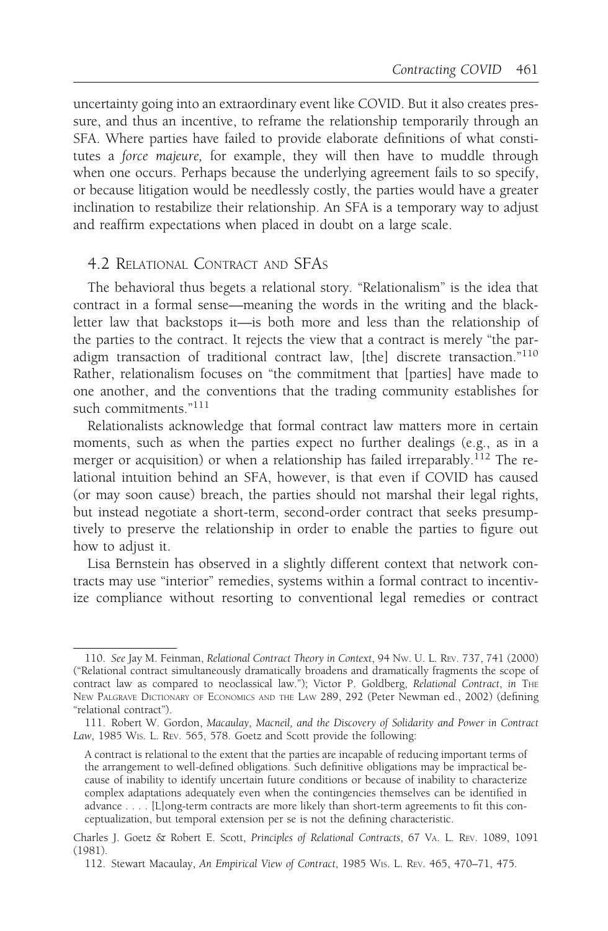uncertainty going into an extraordinary event like COVID. But it also creates pressure, and thus an incentive, to reframe the relationship temporarily through an SFA. Where parties have failed to provide elaborate definitions of what constitutes a force majeure, for example, they will then have to muddle through when one occurs. Perhaps because the underlying agreement fails to so specify, or because litigation would be needlessly costly, the parties would have a greater inclination to restabilize their relationship. An SFA is a temporary way to adjust and reaffirm expectations when placed in doubt on a large scale.

## 4.2 RELATIONAL CONTRACT AND SFAS

The behavioral thus begets a relational story. "Relationalism" is the idea that contract in a formal sense—meaning the words in the writing and the blackletter law that backstops it—is both more and less than the relationship of the parties to the contract. It rejects the view that a contract is merely "the paradigm transaction of traditional contract law, [the] discrete transaction."<sup>110</sup> Rather, relationalism focuses on "the commitment that [parties] have made to one another, and the conventions that the trading community establishes for such commitments."<sup>111</sup>

Relationalists acknowledge that formal contract law matters more in certain moments, such as when the parties expect no further dealings (e.g., as in a merger or acquisition) or when a relationship has failed irreparably.<sup>112</sup> The relational intuition behind an SFA, however, is that even if COVID has caused (or may soon cause) breach, the parties should not marshal their legal rights, but instead negotiate a short-term, second-order contract that seeks presumptively to preserve the relationship in order to enable the parties to figure out how to adjust it.

Lisa Bernstein has observed in a slightly different context that network contracts may use "interior" remedies, systems within a formal contract to incentivize compliance without resorting to conventional legal remedies or contract

<sup>110.</sup> See Jay M. Feinman, Relational Contract Theory in Context, 94 NW. U. L. REV. 737, 741 (2000) ("Relational contract simultaneously dramatically broadens and dramatically fragments the scope of contract law as compared to neoclassical law."); Victor P. Goldberg, Relational Contract, in THE NEW PALGRAVE DICTIONARY OF ECONOMICS AND THE LAW 289, 292 (Peter Newman ed., 2002) (defining "relational contract").

<sup>111.</sup> Robert W. Gordon, Macaulay, Macneil, and the Discovery of Solidarity and Power in Contract Law, 1985 WIS. L. REV. 565, 578. Goetz and Scott provide the following:

A contract is relational to the extent that the parties are incapable of reducing important terms of the arrangement to well-defined obligations. Such definitive obligations may be impractical because of inability to identify uncertain future conditions or because of inability to characterize complex adaptations adequately even when the contingencies themselves can be identified in advance . . . . [L]ong-term contracts are more likely than short-term agreements to fit this conceptualization, but temporal extension per se is not the defining characteristic.

Charles J. Goetz & Robert E. Scott, Principles of Relational Contracts, 67 VA. L. REV. 1089, 1091 (1981).

<sup>112.</sup> Stewart Macaulay, An Empirical View of Contract, 1985 WIS. L. REV. 465, 470–71, 475.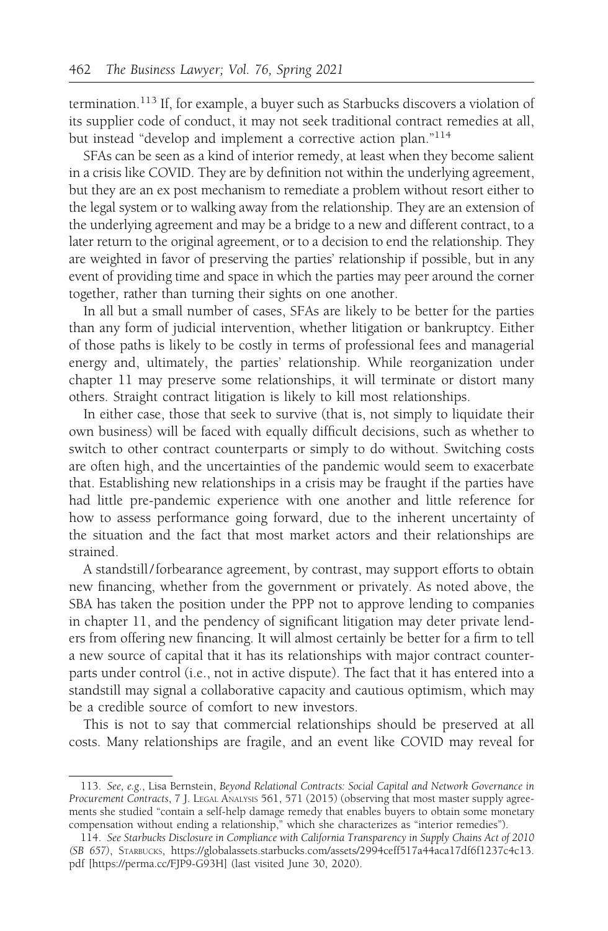termination.<sup>113</sup> If, for example, a buyer such as Starbucks discovers a violation of its supplier code of conduct, it may not seek traditional contract remedies at all, but instead "develop and implement a corrective action plan."<sup>114</sup>

SFAs can be seen as a kind of interior remedy, at least when they become salient in a crisis like COVID. They are by definition not within the underlying agreement, but they are an ex post mechanism to remediate a problem without resort either to the legal system or to walking away from the relationship. They are an extension of the underlying agreement and may be a bridge to a new and different contract, to a later return to the original agreement, or to a decision to end the relationship. They are weighted in favor of preserving the parties' relationship if possible, but in any event of providing time and space in which the parties may peer around the corner together, rather than turning their sights on one another.

In all but a small number of cases, SFAs are likely to be better for the parties than any form of judicial intervention, whether litigation or bankruptcy. Either of those paths is likely to be costly in terms of professional fees and managerial energy and, ultimately, the parties' relationship. While reorganization under chapter 11 may preserve some relationships, it will terminate or distort many others. Straight contract litigation is likely to kill most relationships.

In either case, those that seek to survive (that is, not simply to liquidate their own business) will be faced with equally difficult decisions, such as whether to switch to other contract counterparts or simply to do without. Switching costs are often high, and the uncertainties of the pandemic would seem to exacerbate that. Establishing new relationships in a crisis may be fraught if the parties have had little pre-pandemic experience with one another and little reference for how to assess performance going forward, due to the inherent uncertainty of the situation and the fact that most market actors and their relationships are strained.

A standstill/forbearance agreement, by contrast, may support efforts to obtain new financing, whether from the government or privately. As noted above, the SBA has taken the position under the PPP not to approve lending to companies in chapter 11, and the pendency of significant litigation may deter private lenders from offering new financing. It will almost certainly be better for a firm to tell a new source of capital that it has its relationships with major contract counterparts under control (i.e., not in active dispute). The fact that it has entered into a standstill may signal a collaborative capacity and cautious optimism, which may be a credible source of comfort to new investors.

This is not to say that commercial relationships should be preserved at all costs. Many relationships are fragile, and an event like COVID may reveal for

<sup>113.</sup> See, e.g., Lisa Bernstein, Beyond Relational Contracts: Social Capital and Network Governance in Procurement Contracts, 7 J. LEGAL ANALYSIS 561, 571 (2015) (observing that most master supply agreements she studied "contain a self-help damage remedy that enables buyers to obtain some monetary compensation without ending a relationship," which she characterizes as "interior remedies").

<sup>114.</sup> See Starbucks Disclosure in Compliance with California Transparency in Supply Chains Act of 2010 (SB 657), STARBUCKS, https://globalassets.starbucks.com/assets/2994ceff517a44aca17df6f1237c4c13. pdf [https://perma.cc/FJP9-G93H] (last visited June 30, 2020).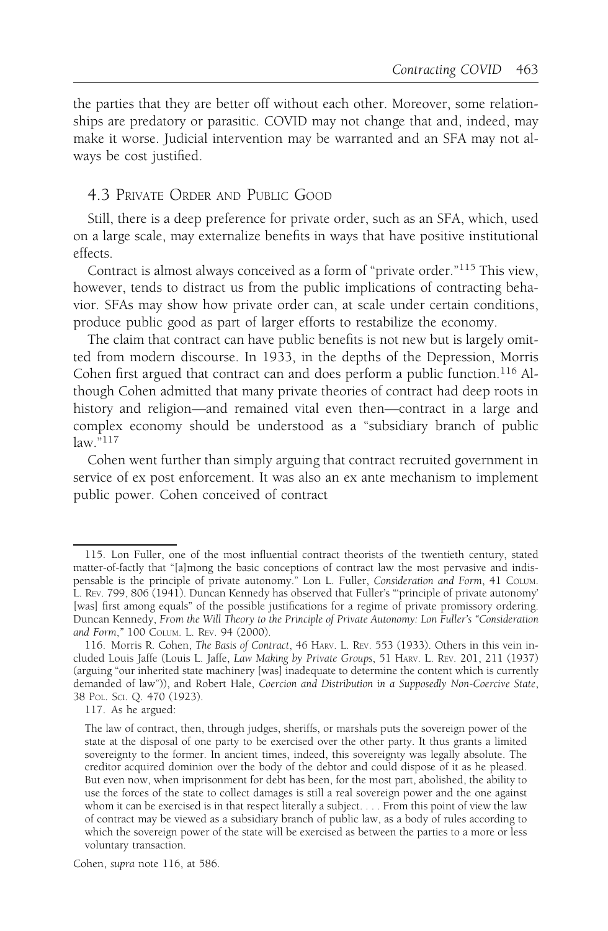the parties that they are better off without each other. Moreover, some relationships are predatory or parasitic. COVID may not change that and, indeed, may make it worse. Judicial intervention may be warranted and an SFA may not always be cost justified.

## 4.3 PRIVATE ORDER AND PUBLIC GOOD

Still, there is a deep preference for private order, such as an SFA, which, used on a large scale, may externalize benefits in ways that have positive institutional effects.

Contract is almost always conceived as a form of "private order."115 This view, however, tends to distract us from the public implications of contracting behavior. SFAs may show how private order can, at scale under certain conditions, produce public good as part of larger efforts to restabilize the economy.

The claim that contract can have public benefits is not new but is largely omitted from modern discourse. In 1933, in the depths of the Depression, Morris Cohen first argued that contract can and does perform a public function.<sup>116</sup> Although Cohen admitted that many private theories of contract had deep roots in history and religion—and remained vital even then—contract in a large and complex economy should be understood as a "subsidiary branch of public  $l$ aw." $117$ 

Cohen went further than simply arguing that contract recruited government in service of ex post enforcement. It was also an ex ante mechanism to implement public power. Cohen conceived of contract

<sup>115.</sup> Lon Fuller, one of the most influential contract theorists of the twentieth century, stated matter-of-factly that "[a]mong the basic conceptions of contract law the most pervasive and indispensable is the principle of private autonomy." Lon L. Fuller, Consideration and Form, 41 COLUM. L. REV. 799, 806 (1941). Duncan Kennedy has observed that Fuller's "'principle of private autonomy' [was] first among equals" of the possible justifications for a regime of private promissory ordering. Duncan Kennedy, From the Will Theory to the Principle of Private Autonomy: Lon Fuller's "Consideration and Form," 100 COLUM. L. REV. 94 (2000).

<sup>116.</sup> Morris R. Cohen, The Basis of Contract, 46 HARV. L. REV. 553 (1933). Others in this vein included Louis Jaffe (Louis L. Jaffe, Law Making by Private Groups, 51 HARV. L. REV. 201, 211 (1937) (arguing "our inherited state machinery [was] inadequate to determine the content which is currently demanded of law")), and Robert Hale, Coercion and Distribution in a Supposedly Non-Coercive State, 38 POL. SCI. Q. 470 (1923).

<sup>117.</sup> As he argued:

The law of contract, then, through judges, sheriffs, or marshals puts the sovereign power of the state at the disposal of one party to be exercised over the other party. It thus grants a limited sovereignty to the former. In ancient times, indeed, this sovereignty was legally absolute. The creditor acquired dominion over the body of the debtor and could dispose of it as he pleased. But even now, when imprisonment for debt has been, for the most part, abolished, the ability to use the forces of the state to collect damages is still a real sovereign power and the one against whom it can be exercised is in that respect literally a subject. . . . From this point of view the law of contract may be viewed as a subsidiary branch of public law, as a body of rules according to which the sovereign power of the state will be exercised as between the parties to a more or less voluntary transaction.

Cohen, supra note 116, at 586.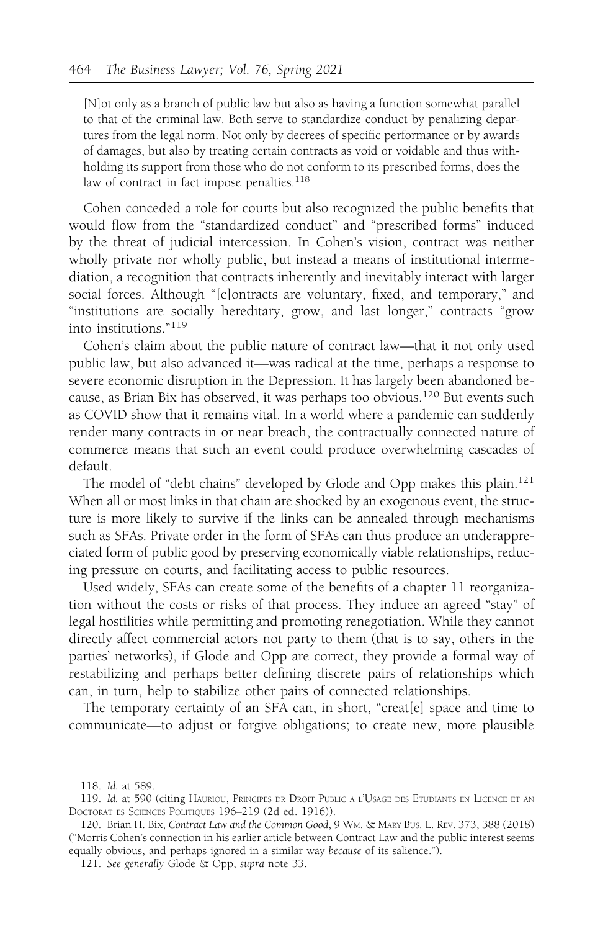[N]ot only as a branch of public law but also as having a function somewhat parallel to that of the criminal law. Both serve to standardize conduct by penalizing departures from the legal norm. Not only by decrees of specific performance or by awards of damages, but also by treating certain contracts as void or voidable and thus withholding its support from those who do not conform to its prescribed forms, does the law of contract in fact impose penalties.<sup>118</sup>

Cohen conceded a role for courts but also recognized the public benefits that would flow from the "standardized conduct" and "prescribed forms" induced by the threat of judicial intercession. In Cohen's vision, contract was neither wholly private nor wholly public, but instead a means of institutional intermediation, a recognition that contracts inherently and inevitably interact with larger social forces. Although "[c]ontracts are voluntary, fixed, and temporary," and "institutions are socially hereditary, grow, and last longer," contracts "grow into institutions."<sup>119</sup>

Cohen's claim about the public nature of contract law—that it not only used public law, but also advanced it—was radical at the time, perhaps a response to severe economic disruption in the Depression. It has largely been abandoned because, as Brian Bix has observed, it was perhaps too obvious.<sup>120</sup> But events such as COVID show that it remains vital. In a world where a pandemic can suddenly render many contracts in or near breach, the contractually connected nature of commerce means that such an event could produce overwhelming cascades of default.

The model of "debt chains" developed by Glode and Opp makes this plain.<sup>121</sup> When all or most links in that chain are shocked by an exogenous event, the structure is more likely to survive if the links can be annealed through mechanisms such as SFAs. Private order in the form of SFAs can thus produce an underappreciated form of public good by preserving economically viable relationships, reducing pressure on courts, and facilitating access to public resources.

Used widely, SFAs can create some of the benefits of a chapter 11 reorganization without the costs or risks of that process. They induce an agreed "stay" of legal hostilities while permitting and promoting renegotiation. While they cannot directly affect commercial actors not party to them (that is to say, others in the parties' networks), if Glode and Opp are correct, they provide a formal way of restabilizing and perhaps better defining discrete pairs of relationships which can, in turn, help to stabilize other pairs of connected relationships.

The temporary certainty of an SFA can, in short, "creat[e] space and time to communicate—to adjust or forgive obligations; to create new, more plausible

<sup>118.</sup> Id. at 589.

<sup>119.</sup> Id. at 590 (citing HAURIOU, PRINCIPES DR DROIT PUBLIC A L'USAGE DES ETUDIANTS EN LICENCE ET AN DOCTORAT ES SCIENCES POLITIQUES 196–219 (2d ed. 1916)).

<sup>120.</sup> Brian H. Bix, Contract Law and the Common Good, 9 Wm. & MARY BUS. L. REV. 373, 388 (2018) ("Morris Cohen's connection in his earlier article between Contract Law and the public interest seems equally obvious, and perhaps ignored in a similar way because of its salience.").

<sup>121.</sup> See generally Glode & Opp, supra note 33.